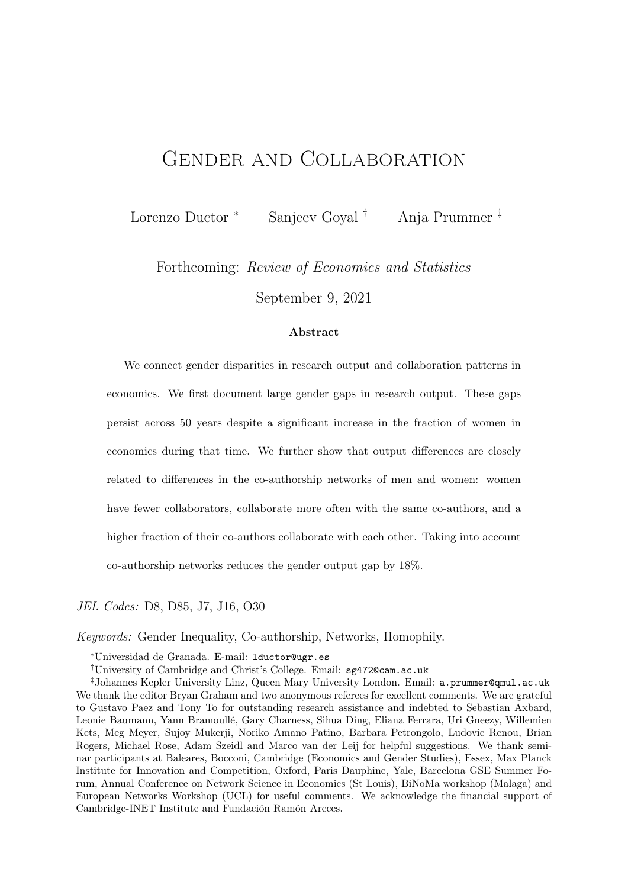# Gender and Collaboration

Lorenzo Ductor <sup>∗</sup> Sanjeev Goyal † Anja Prummer ‡

Forthcoming: Review of Economics and Statistics

September 9, 2021

#### Abstract

We connect gender disparities in research output and collaboration patterns in economics. We first document large gender gaps in research output. These gaps persist across 50 years despite a significant increase in the fraction of women in economics during that time. We further show that output differences are closely related to differences in the co-authorship networks of men and women: women have fewer collaborators, collaborate more often with the same co-authors, and a higher fraction of their co-authors collaborate with each other. Taking into account co-authorship networks reduces the gender output gap by 18%.

JEL Codes: D8, D85, J7, J16, O30

Keywords: Gender Inequality, Co-authorship, Networks, Homophily.

<sup>∗</sup>Universidad de Granada. E-mail: lductor@ugr.es

<sup>†</sup>University of Cambridge and Christ's College. Email: sg472@cam.ac.uk

<sup>‡</sup>Johannes Kepler University Linz, Queen Mary University London. Email: a.prummer@qmul.ac.uk We thank the editor Bryan Graham and two anonymous referees for excellent comments. We are grateful to Gustavo Paez and Tony To for outstanding research assistance and indebted to Sebastian Axbard, Leonie Baumann, Yann Bramoullé, Gary Charness, Sihua Ding, Eliana Ferrara, Uri Gneezy, Willemien Kets, Meg Meyer, Sujoy Mukerji, Noriko Amano Patino, Barbara Petrongolo, Ludovic Renou, Brian Rogers, Michael Rose, Adam Szeidl and Marco van der Leij for helpful suggestions. We thank seminar participants at Baleares, Bocconi, Cambridge (Economics and Gender Studies), Essex, Max Planck Institute for Innovation and Competition, Oxford, Paris Dauphine, Yale, Barcelona GSE Summer Forum, Annual Conference on Network Science in Economics (St Louis), BiNoMa workshop (Malaga) and European Networks Workshop (UCL) for useful comments. We acknowledge the financial support of Cambridge-INET Institute and Fundación Ramón Areces.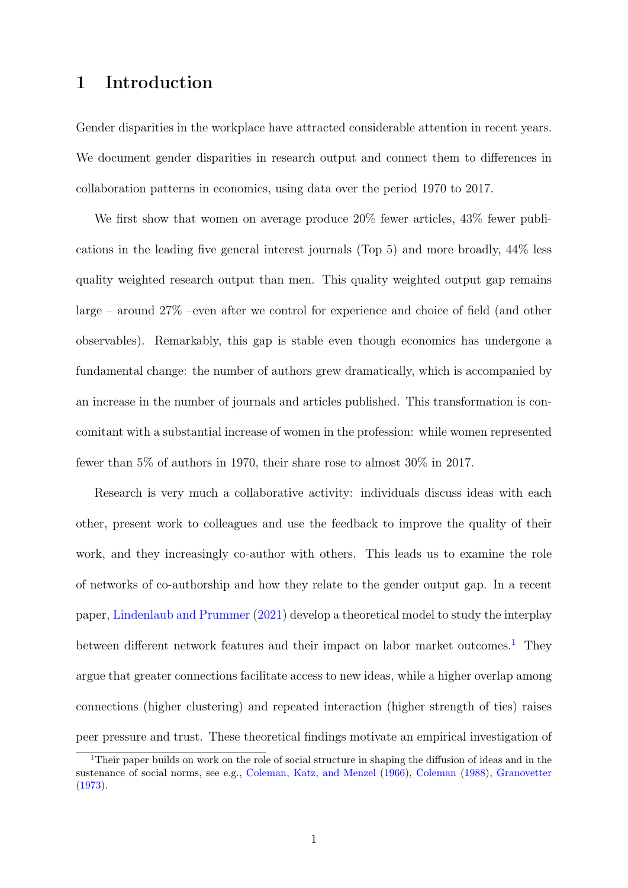### 1 Introduction

Gender disparities in the workplace have attracted considerable attention in recent years. We document gender disparities in research output and connect them to differences in collaboration patterns in economics, using data over the period 1970 to 2017.

We first show that women on average produce  $20\%$  fewer articles,  $43\%$  fewer publications in the leading five general interest journals (Top 5) and more broadly, 44% less quality weighted research output than men. This quality weighted output gap remains large – around 27% –even after we control for experience and choice of field (and other observables). Remarkably, this gap is stable even though economics has undergone a fundamental change: the number of authors grew dramatically, which is accompanied by an increase in the number of journals and articles published. This transformation is concomitant with a substantial increase of women in the profession: while women represented fewer than 5% of authors in 1970, their share rose to almost 30% in 2017.

Research is very much a collaborative activity: individuals discuss ideas with each other, present work to colleagues and use the feedback to improve the quality of their work, and they increasingly co-author with others. This leads us to examine the role of networks of co-authorship and how they relate to the gender output gap. In a recent paper, [Lindenlaub and Prummer](#page-24-0) [\(2021\)](#page-24-0) develop a theoretical model to study the interplay between different network features and their impact on labor market outcomes.<sup>[1](#page-1-0)</sup> They argue that greater connections facilitate access to new ideas, while a higher overlap among connections (higher clustering) and repeated interaction (higher strength of ties) raises peer pressure and trust. These theoretical findings motivate an empirical investigation of

<span id="page-1-0"></span><sup>1</sup>Their paper builds on work on the role of social structure in shaping the diffusion of ideas and in the sustenance of social norms, see e.g., [Coleman, Katz, and Menzel](#page-24-1) [\(1966\)](#page-24-1), [Coleman](#page-24-2) [\(1988\)](#page-24-2), [Granovetter](#page-24-3) [\(1973\)](#page-24-3).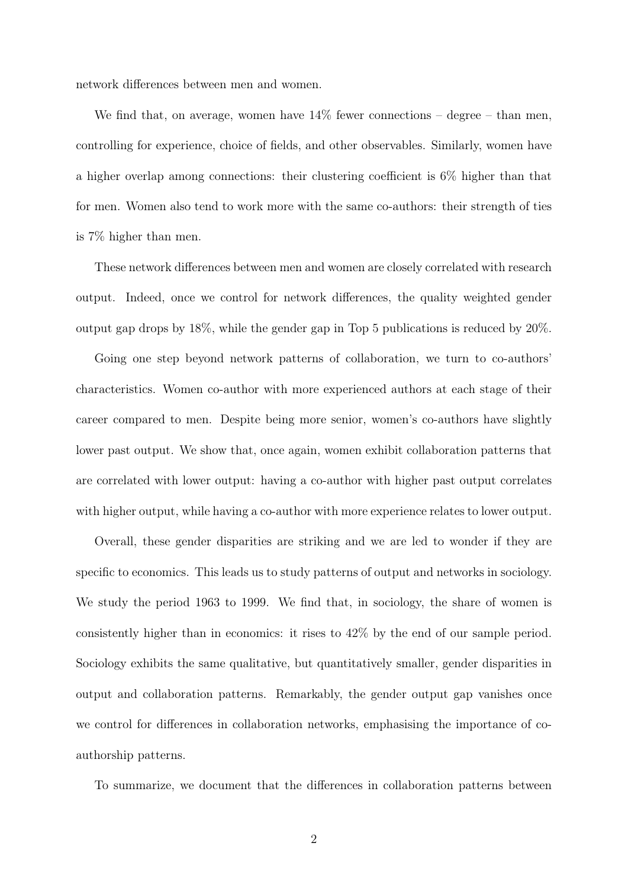network differences between men and women.

We find that, on average, women have  $14\%$  fewer connections – degree – than men, controlling for experience, choice of fields, and other observables. Similarly, women have a higher overlap among connections: their clustering coefficient is 6% higher than that for men. Women also tend to work more with the same co-authors: their strength of ties is 7% higher than men.

These network differences between men and women are closely correlated with research output. Indeed, once we control for network differences, the quality weighted gender output gap drops by 18%, while the gender gap in Top 5 publications is reduced by 20%.

Going one step beyond network patterns of collaboration, we turn to co-authors' characteristics. Women co-author with more experienced authors at each stage of their career compared to men. Despite being more senior, women's co-authors have slightly lower past output. We show that, once again, women exhibit collaboration patterns that are correlated with lower output: having a co-author with higher past output correlates with higher output, while having a co-author with more experience relates to lower output.

Overall, these gender disparities are striking and we are led to wonder if they are specific to economics. This leads us to study patterns of output and networks in sociology. We study the period 1963 to 1999. We find that, in sociology, the share of women is consistently higher than in economics: it rises to 42% by the end of our sample period. Sociology exhibits the same qualitative, but quantitatively smaller, gender disparities in output and collaboration patterns. Remarkably, the gender output gap vanishes once we control for differences in collaboration networks, emphasising the importance of coauthorship patterns.

To summarize, we document that the differences in collaboration patterns between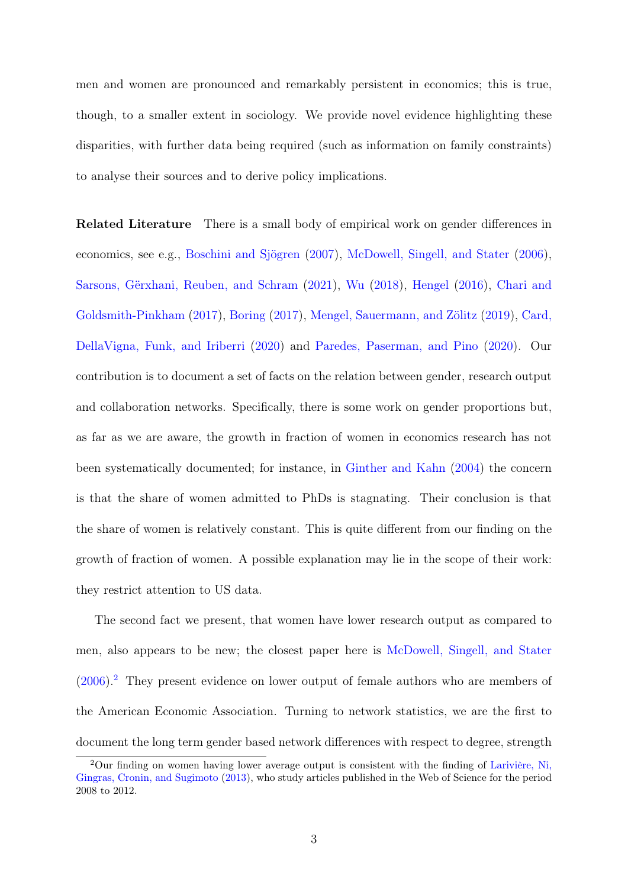men and women are pronounced and remarkably persistent in economics; this is true, though, to a smaller extent in sociology. We provide novel evidence highlighting these disparities, with further data being required (such as information on family constraints) to analyse their sources and to derive policy implications.

Related Literature There is a small body of empirical work on gender differences in economics, see e.g., [Boschini and Sjögren](#page-24-4) [\(2007\)](#page-24-4), [McDowell, Singell, and Stater](#page-24-5) [\(2006\)](#page-24-5), [Sarsons, Gërxhani, Reuben, and Schram](#page-25-0) [\(2021\)](#page-25-0), [Wu](#page-25-1) [\(2018\)](#page-25-1), [Hengel](#page-24-6) [\(2016\)](#page-24-6), [Chari and](#page-24-7) [Goldsmith-Pinkham](#page-24-7) [\(2017\)](#page-24-7), [Boring](#page-24-8) [\(2017\)](#page-24-8), [Mengel, Sauermann, and Zölitz](#page-24-9) [\(2019\)](#page-24-9), [Card,](#page-24-10) [DellaVigna, Funk, and Iriberri](#page-24-10) [\(2020\)](#page-24-10) and [Paredes, Paserman, and Pino](#page-25-2) [\(2020\)](#page-25-2). Our contribution is to document a set of facts on the relation between gender, research output and collaboration networks. Specifically, there is some work on gender proportions but, as far as we are aware, the growth in fraction of women in economics research has not been systematically documented; for instance, in [Ginther and Kahn](#page-24-11) [\(2004\)](#page-24-11) the concern is that the share of women admitted to PhDs is stagnating. Their conclusion is that the share of women is relatively constant. This is quite different from our finding on the growth of fraction of women. A possible explanation may lie in the scope of their work: they restrict attention to US data.

The second fact we present, that women have lower research output as compared to men, also appears to be new; the closest paper here is [McDowell, Singell, and Stater](#page-24-5) [\(2006\)](#page-24-5).[2](#page-3-0) They present evidence on lower output of female authors who are members of the American Economic Association. Turning to network statistics, we are the first to document the long term gender based network differences with respect to degree, strength

<span id="page-3-0"></span><sup>2</sup>Our finding on women having lower average output is consistent with the finding of [Larivière, Ni,](#page-24-12) [Gingras, Cronin, and Sugimoto](#page-24-12) [\(2013\)](#page-24-12), who study articles published in the Web of Science for the period 2008 to 2012.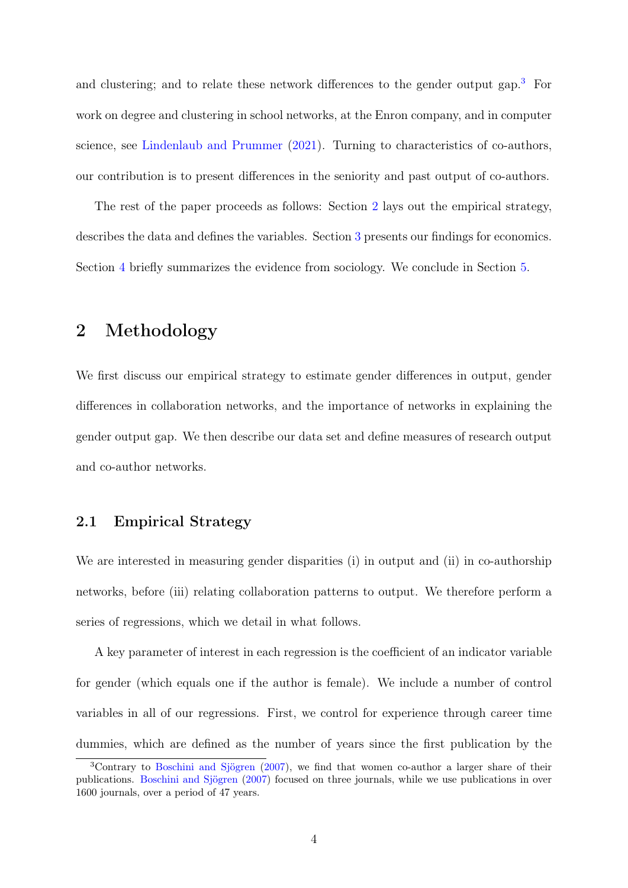and clustering; and to relate these network differences to the gender output gap.<sup>[3](#page-4-0)</sup> For work on degree and clustering in school networks, at the Enron company, and in computer science, see [Lindenlaub and Prummer](#page-24-0) [\(2021\)](#page-24-0). Turning to characteristics of co-authors, our contribution is to present differences in the seniority and past output of co-authors.

The rest of the paper proceeds as follows: Section [2](#page-4-1) lays out the empirical strategy, describes the data and defines the variables. Section [3](#page-11-0) presents our findings for economics. Section [4](#page-21-0) briefly summarizes the evidence from sociology. We conclude in Section [5.](#page-23-0)

### <span id="page-4-1"></span>2 Methodology

We first discuss our empirical strategy to estimate gender differences in output, gender differences in collaboration networks, and the importance of networks in explaining the gender output gap. We then describe our data set and define measures of research output and co-author networks.

### 2.1 Empirical Strategy

We are interested in measuring gender disparities (i) in output and (ii) in co-authorship networks, before (iii) relating collaboration patterns to output. We therefore perform a series of regressions, which we detail in what follows.

A key parameter of interest in each regression is the coefficient of an indicator variable for gender (which equals one if the author is female). We include a number of control variables in all of our regressions. First, we control for experience through career time dummies, which are defined as the number of years since the first publication by the

<span id="page-4-0"></span><sup>3</sup>Contrary to [Boschini and Sjögren](#page-24-4) [\(2007\)](#page-24-4), we find that women co-author a larger share of their publications. [Boschini and Sjögren](#page-24-4) [\(2007\)](#page-24-4) focused on three journals, while we use publications in over 1600 journals, over a period of 47 years.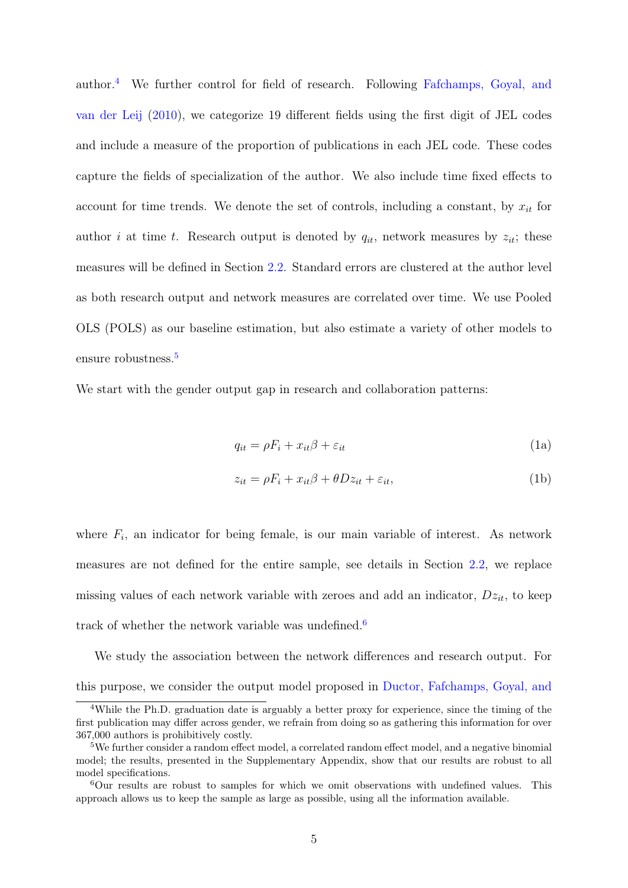author.[4](#page-5-0) We further control for field of research. Following [Fafchamps, Goyal, and](#page-24-13) [van der Leij](#page-24-13) [\(2010\)](#page-24-13), we categorize 19 different fields using the first digit of JEL codes and include a measure of the proportion of publications in each JEL code. These codes capture the fields of specialization of the author. We also include time fixed effects to account for time trends. We denote the set of controls, including a constant, by  $x_{it}$  for author *i* at time *t*. Research output is denoted by  $q_{it}$ , network measures by  $z_{it}$ ; these measures will be defined in Section [2.2.](#page-7-0) Standard errors are clustered at the author level as both research output and network measures are correlated over time. We use Pooled OLS (POLS) as our baseline estimation, but also estimate a variety of other models to ensure robustness.<sup>[5](#page-5-1)</sup>

We start with the gender output gap in research and collaboration patterns:

<span id="page-5-4"></span><span id="page-5-3"></span>
$$
q_{it} = \rho F_i + x_{it}\beta + \varepsilon_{it} \tag{1a}
$$

$$
z_{it} = \rho F_i + x_{it}\beta + \theta Dz_{it} + \varepsilon_{it},\tag{1b}
$$

where  $F_i$ , an indicator for being female, is our main variable of interest. As network measures are not defined for the entire sample, see details in Section [2.2,](#page-7-0) we replace missing values of each network variable with zeroes and add an indicator,  $Dz_{it}$ , to keep track of whether the network variable was undefined.<sup>[6](#page-5-2)</sup>

We study the association between the network differences and research output. For this purpose, we consider the output model proposed in [Ductor, Fafchamps, Goyal, and](#page-24-14)

<span id="page-5-0"></span><sup>&</sup>lt;sup>4</sup>[While the Ph.D. graduation date is arguably a better proxy for experience, since the timing of the](#page-24-14) [first publication may differ across gender, we refrain from doing so as gathering this information for over](#page-24-14) [367,000 authors is prohibitively costly.](#page-24-14)

<span id="page-5-1"></span><sup>&</sup>lt;sup>5</sup>[We further consider a random effect model, a correlated random effect model, and a negative binomial](#page-24-14) [model; the results, presented in the Supplementary Appendix, show that our results are robust to all](#page-24-14) [model specifications.](#page-24-14)

<span id="page-5-2"></span><sup>6</sup>[Our results are robust to samples for which we omit observations with undefined values. This](#page-24-14) [approach allows us to keep the sample as large as possible, using all the information available.](#page-24-14)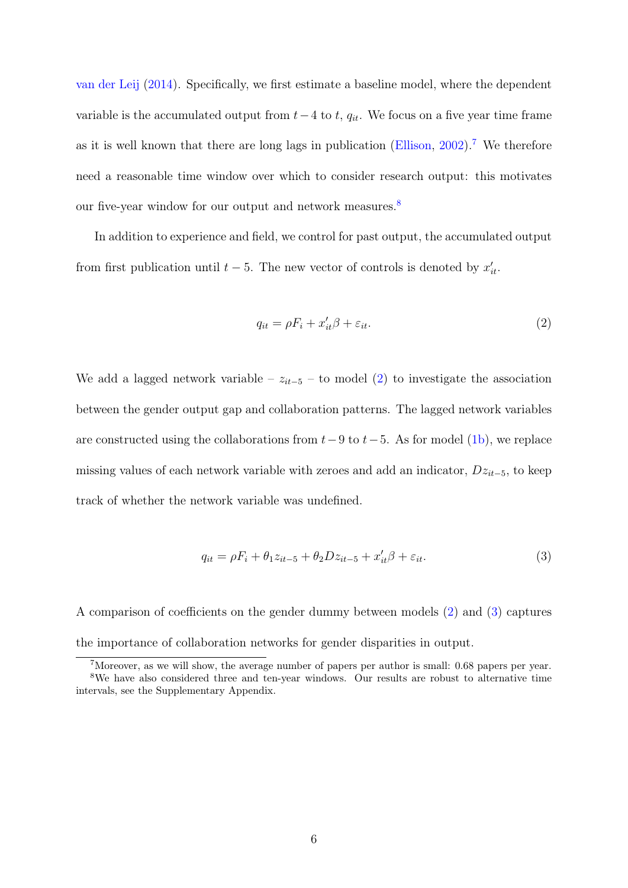[van der Leij](#page-24-14) [\(2014\)](#page-24-14). Specifically, we first estimate a baseline model, where the dependent variable is the accumulated output from  $t-4$  to  $t$ ,  $q_{it}$ . We focus on a five year time frame as it is well known that there are long lags in publication [\(Ellison,](#page-24-15)  $2002$ ).<sup>[7](#page-6-0)</sup> We therefore need a reasonable time window over which to consider research output: this motivates our five-year window for our output and network measures.<sup>[8](#page-6-1)</sup>

In addition to experience and field, we control for past output, the accumulated output from first publication until  $t - 5$ . The new vector of controls is denoted by  $x'_{it}$ .

<span id="page-6-2"></span>
$$
q_{it} = \rho F_i + x_{it}' \beta + \varepsilon_{it}.
$$
\n<sup>(2)</sup>

We add a lagged network variable –  $z_{it-5}$  – to model [\(2\)](#page-6-2) to investigate the association between the gender output gap and collaboration patterns. The lagged network variables are constructed using the collaborations from  $t-9$  to  $t-5$ . As for model [\(1b\)](#page-5-3), we replace missing values of each network variable with zeroes and add an indicator,  $Dz_{it-5}$ , to keep track of whether the network variable was undefined.

<span id="page-6-3"></span>
$$
q_{it} = \rho F_i + \theta_1 z_{it-5} + \theta_2 D z_{it-5} + x'_{it} \beta + \varepsilon_{it}.
$$
\n
$$
\tag{3}
$$

A comparison of coefficients on the gender dummy between models [\(2\)](#page-6-2) and [\(3\)](#page-6-3) captures the importance of collaboration networks for gender disparities in output.

<span id="page-6-1"></span><span id="page-6-0"></span><sup>7</sup>Moreover, as we will show, the average number of papers per author is small: 0.68 papers per year.

<sup>&</sup>lt;sup>8</sup>We have also considered three and ten-year windows. Our results are robust to alternative time intervals, see the Supplementary Appendix.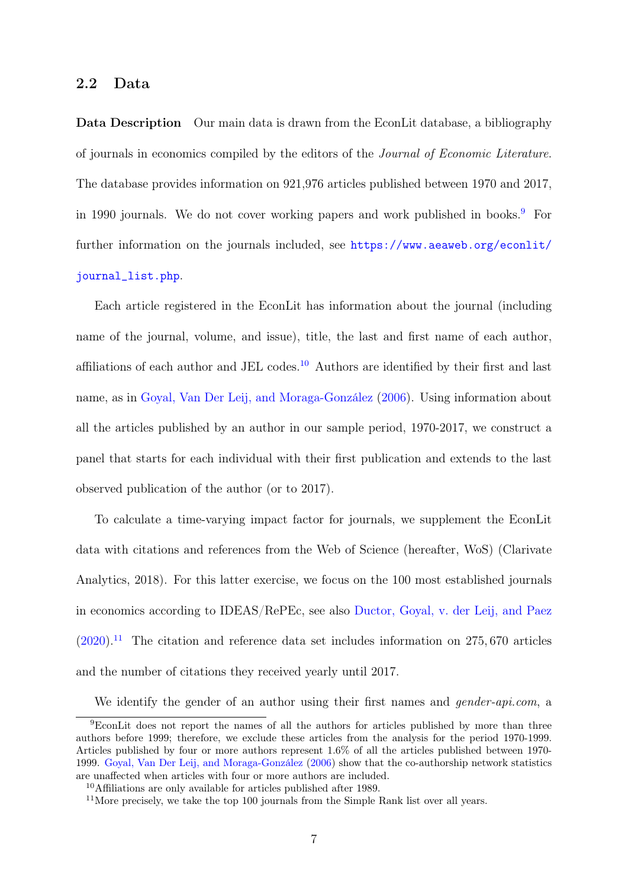#### <span id="page-7-0"></span>2.2 Data

Data Description Our main data is drawn from the EconLit database, a bibliography of journals in economics compiled by the editors of the Journal of Economic Literature. The database provides information on 921,976 articles published between 1970 and 2017, in 1[9](#page-7-1)90 journals. We do not cover working papers and work published in books.<sup>9</sup> For further information on the journals included, see [https://www.aeaweb.org/econlit/](https://www.aeaweb.org/econlit/journal_list.php) [journal\\_list.php](https://www.aeaweb.org/econlit/journal_list.php).

Each article registered in the EconLit has information about the journal (including name of the journal, volume, and issue), title, the last and first name of each author, affiliations of each author and JEL codes.<sup>[10](#page-7-2)</sup> Authors are identified by their first and last name, as in [Goyal, Van Der Leij, and Moraga-González](#page-24-16) [\(2006\)](#page-24-16). Using information about all the articles published by an author in our sample period, 1970-2017, we construct a panel that starts for each individual with their first publication and extends to the last observed publication of the author (or to 2017).

To calculate a time-varying impact factor for journals, we supplement the EconLit data with citations and references from the Web of Science (hereafter, WoS) (Clarivate Analytics, 2018). For this latter exercise, we focus on the 100 most established journals in economics according to IDEAS/RePEc, see also [Ductor, Goyal, v. der Leij, and Paez](#page-24-17)  $(2020)^{11}$  $(2020)^{11}$  $(2020)^{11}$  $(2020)^{11}$  The citation and reference data set includes information on 275, 670 articles and the number of citations they received yearly until 2017.

<span id="page-7-1"></span>We identify the gender of an author using their first names and *gender-api.com*, a

<sup>9</sup>EconLit does not report the names of all the authors for articles published by more than three authors before 1999; therefore, we exclude these articles from the analysis for the period 1970-1999. Articles published by four or more authors represent 1.6% of all the articles published between 1970- 1999. [Goyal, Van Der Leij, and Moraga-González](#page-24-16) [\(2006\)](#page-24-16) show that the co-authorship network statistics are unaffected when articles with four or more authors are included.

<span id="page-7-2"></span><sup>10</sup>Affiliations are only available for articles published after 1989.

<span id="page-7-3"></span> $11$ More precisely, we take the top 100 journals from the Simple Rank list over all years.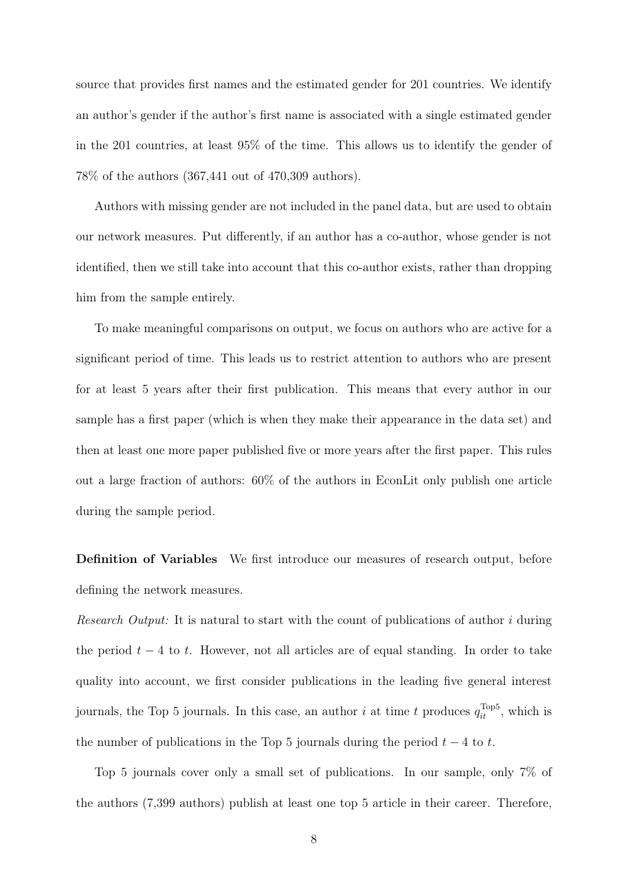source that provides first names and the estimated gender for 201 countries. We identify an author's gender if the author's first name is associated with a single estimated gender in the 201 countries, at least 95% of the time. This allows us to identify the gender of 78% of the authors (367,441 out of 470,309 authors).

Authors with missing gender are not included in the panel data, but are used to obtain our network measures. Put differently, if an author has a co-author, whose gender is not identified, then we still take into account that this co-author exists, rather than dropping him from the sample entirely.

To make meaningful comparisons on output, we focus on authors who are active for a significant period of time. This leads us to restrict attention to authors who are present for at least 5 years after their first publication. This means that every author in our sample has a first paper (which is when they make their appearance in the data set) and then at least one more paper published five or more years after the first paper. This rules out a large fraction of authors: 60% of the authors in EconLit only publish one article during the sample period.

Definition of Variables We first introduce our measures of research output, before defining the network measures.

Research Output: It is natural to start with the count of publications of author i during the period  $t - 4$  to t. However, not all articles are of equal standing. In order to take quality into account, we first consider publications in the leading five general interest journals, the Top 5 journals. In this case, an author i at time t produces  $q_{it}^{\text{Top5}}$ , which is the number of publications in the Top 5 journals during the period  $t - 4$  to t.

Top 5 journals cover only a small set of publications. In our sample, only 7% of the authors (7,399 authors) publish at least one top 5 article in their career. Therefore,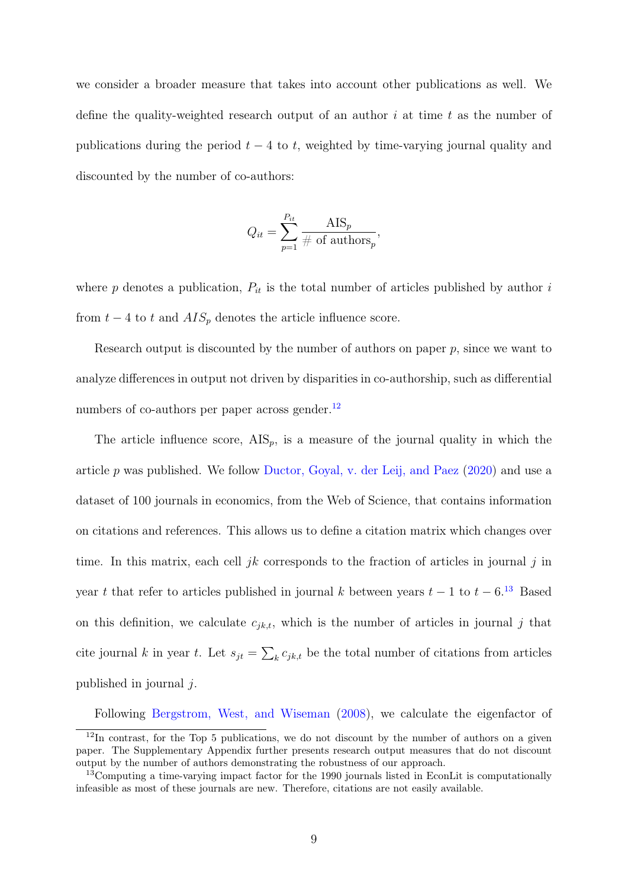we consider a broader measure that takes into account other publications as well. We define the quality-weighted research output of an author  $i$  at time  $t$  as the number of publications during the period  $t - 4$  to t, weighted by time-varying journal quality and discounted by the number of co-authors:

$$
Q_{it} = \sum_{p=1}^{P_{it}} \frac{\text{AIS}_p}{\# \text{ of authors}_p},
$$

where  $p$  denotes a publication,  $P_{it}$  is the total number of articles published by author  $i$ from  $t - 4$  to t and  $AIS_p$  denotes the article influence score.

Research output is discounted by the number of authors on paper  $p$ , since we want to analyze differences in output not driven by disparities in co-authorship, such as differential numbers of co-authors per paper across gender. $^{12}$  $^{12}$  $^{12}$ 

The article influence score,  $\text{AIS}_p$ , is a measure of the journal quality in which the article p was published. We follow [Ductor, Goyal, v. der Leij, and Paez](#page-24-17) [\(2020\)](#page-24-17) and use a dataset of 100 journals in economics, from the Web of Science, that contains information on citations and references. This allows us to define a citation matrix which changes over time. In this matrix, each cell jk corresponds to the fraction of articles in journal j in year t that refer to articles published in journal k between years  $t-1$  to  $t-6$ .<sup>[13](#page-9-1)</sup> Based on this definition, we calculate  $c_{jk,t}$ , which is the number of articles in journal j that cite journal k in year t. Let  $s_{jt} = \sum_k c_{jk,t}$  be the total number of citations from articles published in journal  $i$ .

<span id="page-9-0"></span>Following [Bergstrom, West, and Wiseman](#page-24-18) [\(2008\)](#page-24-18), we calculate the eigenfactor of

<sup>&</sup>lt;sup>12</sup>In contrast, for the Top 5 publications, we do not discount by the number of authors on a given paper. The Supplementary Appendix further presents research output measures that do not discount output by the number of authors demonstrating the robustness of our approach.

<span id="page-9-1"></span><sup>&</sup>lt;sup>13</sup>Computing a time-varying impact factor for the 1990 journals listed in EconLit is computationally infeasible as most of these journals are new. Therefore, citations are not easily available.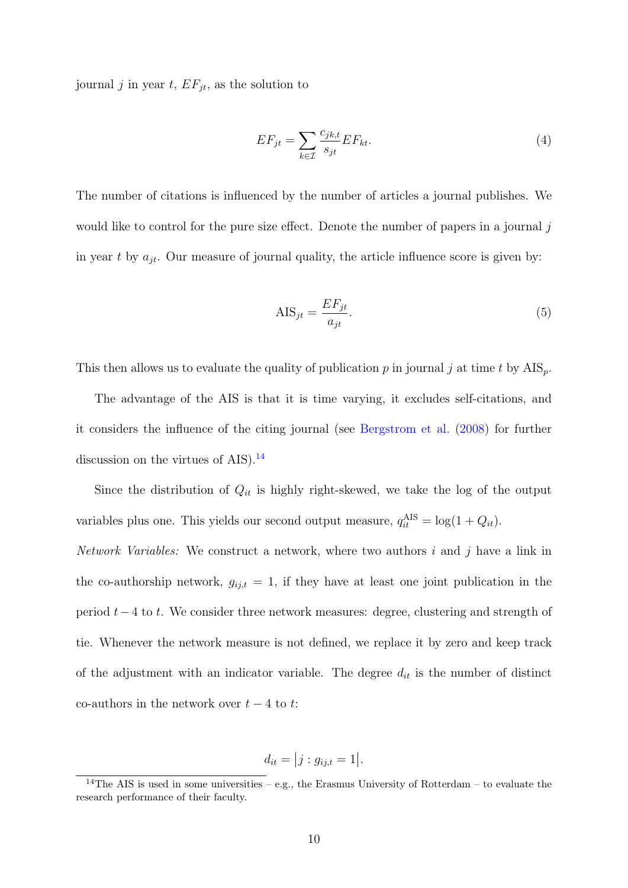journal j in year t,  $EF_{jt}$ , as the solution to

$$
EF_{jt} = \sum_{k \in \mathcal{I}} \frac{c_{jk,t}}{s_{jt}} EF_{kt}.
$$
\n
$$
(4)
$$

The number of citations is influenced by the number of articles a journal publishes. We would like to control for the pure size effect. Denote the number of papers in a journal  $j$ in year t by  $a_{jt}$ . Our measure of journal quality, the article influence score is given by:

$$
AIS_{jt} = \frac{EF_{jt}}{a_{jt}}.\tag{5}
$$

This then allows us to evaluate the quality of publication p in journal j at time t by  $\text{AIS}_p$ .

The advantage of the AIS is that it is time varying, it excludes self-citations, and it considers the influence of the citing journal (see [Bergstrom et al.](#page-24-18) [\(2008\)](#page-24-18) for further discussion on the virtues of  $AIS$ ).<sup>[14](#page-10-0)</sup>

Since the distribution of  $Q_{it}$  is highly right-skewed, we take the log of the output variables plus one. This yields our second output measure,  $q_{it}^{\text{AIS}} = \log(1 + Q_{it})$ .

Network Variables: We construct a network, where two authors  $i$  and  $j$  have a link in the co-authorship network,  $g_{ij,t} = 1$ , if they have at least one joint publication in the period  $t-4$  to t. We consider three network measures: degree, clustering and strength of tie. Whenever the network measure is not defined, we replace it by zero and keep track of the adjustment with an indicator variable. The degree  $d_{it}$  is the number of distinct co-authors in the network over  $t - 4$  to  $t$ :

$$
d_{it} = |j : g_{ij,t} = 1|.
$$

<span id="page-10-0"></span><sup>&</sup>lt;sup>14</sup>The AIS is used in some universities – e.g., the Erasmus University of Rotterdam – to evaluate the research performance of their faculty.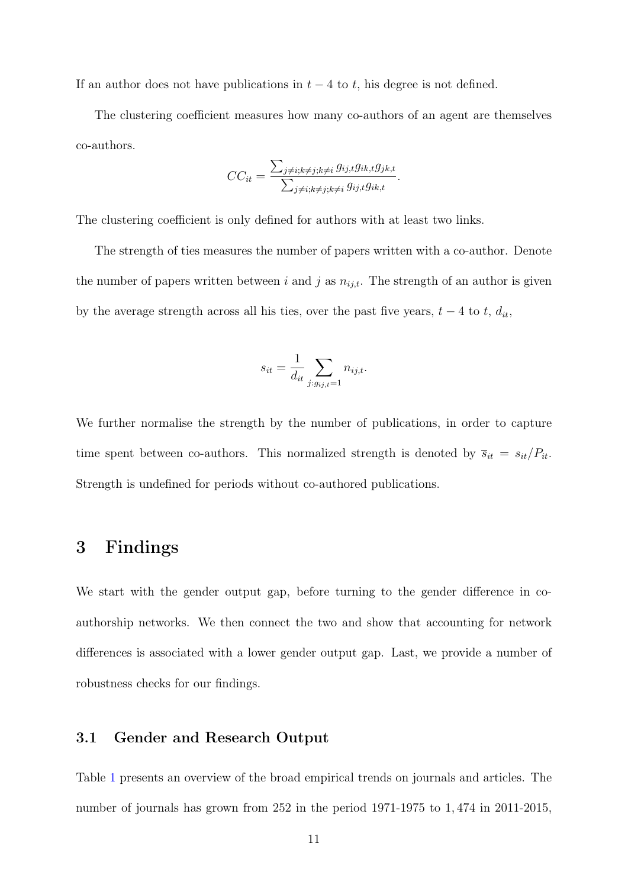If an author does not have publications in  $t-4$  to t, his degree is not defined.

The clustering coefficient measures how many co-authors of an agent are themselves co-authors.

$$
CC_{it} = \frac{\sum_{j \neq i; k \neq j; k \neq i} g_{ij,t} g_{ik,t} g_{jk,t}}{\sum_{j \neq i; k \neq j; k \neq i} g_{ij,t} g_{ik,t}}.
$$

The clustering coefficient is only defined for authors with at least two links.

The strength of ties measures the number of papers written with a co-author. Denote the number of papers written between i and j as  $n_{ij,t}$ . The strength of an author is given by the average strength across all his ties, over the past five years,  $t - 4$  to  $t$ ,  $d_{it}$ ,

$$
s_{it} = \frac{1}{d_{it}} \sum_{j:g_{ij,t}=1} n_{ij,t}.
$$

We further normalise the strength by the number of publications, in order to capture time spent between co-authors. This normalized strength is denoted by  $\overline{s}_{it} = s_{it}/P_{it}$ . Strength is undefined for periods without co-authored publications.

### <span id="page-11-0"></span>3 Findings

We start with the gender output gap, before turning to the gender difference in coauthorship networks. We then connect the two and show that accounting for network differences is associated with a lower gender output gap. Last, we provide a number of robustness checks for our findings.

#### 3.1 Gender and Research Output

Table [1](#page-26-0) presents an overview of the broad empirical trends on journals and articles. The number of journals has grown from 252 in the period 1971-1975 to 1, 474 in 2011-2015,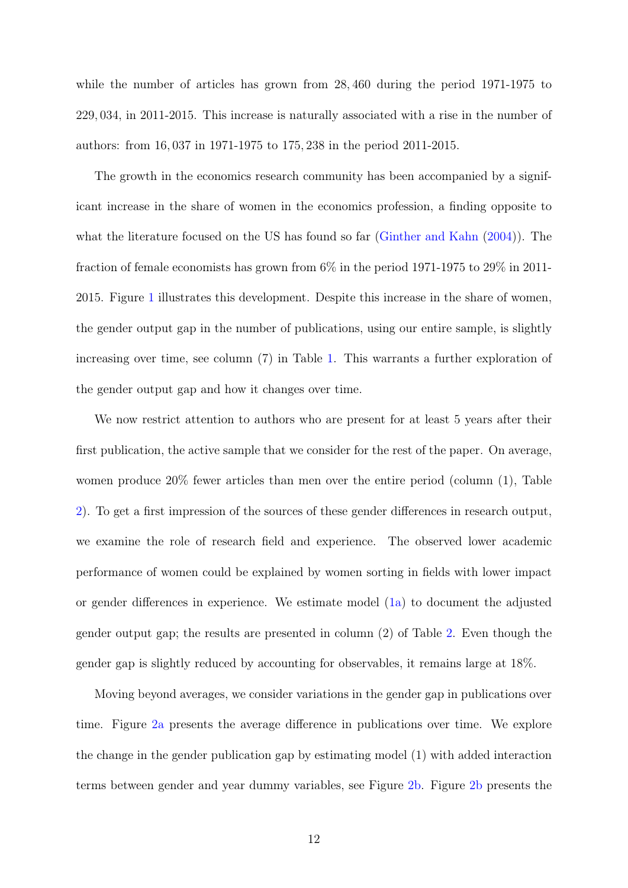while the number of articles has grown from  $28,460$  during the period 1971-1975 to 229, 034, in 2011-2015. This increase is naturally associated with a rise in the number of authors: from 16, 037 in 1971-1975 to 175, 238 in the period 2011-2015.

The growth in the economics research community has been accompanied by a significant increase in the share of women in the economics profession, a finding opposite to what the literature focused on the US has found so far [\(Ginther and Kahn](#page-24-11) [\(2004\)](#page-24-11)). The fraction of female economists has grown from 6% in the period 1971-1975 to 29% in 2011- 2015. Figure [1](#page-26-1) illustrates this development. Despite this increase in the share of women, the gender output gap in the number of publications, using our entire sample, is slightly increasing over time, see column (7) in Table [1.](#page-26-0) This warrants a further exploration of the gender output gap and how it changes over time.

We now restrict attention to authors who are present for at least 5 years after their first publication, the active sample that we consider for the rest of the paper. On average, women produce 20% fewer articles than men over the entire period (column (1), Table [2\)](#page-27-0). To get a first impression of the sources of these gender differences in research output, we examine the role of research field and experience. The observed lower academic performance of women could be explained by women sorting in fields with lower impact or gender differences in experience. We estimate model [\(1a\)](#page-5-4) to document the adjusted gender output gap; the results are presented in column (2) of Table [2.](#page-27-0) Even though the gender gap is slightly reduced by accounting for observables, it remains large at 18%.

Moving beyond averages, we consider variations in the gender gap in publications over time. Figure [2a](#page-28-0) presents the average difference in publications over time. We explore the change in the gender publication gap by estimating model (1) with added interaction terms between gender and year dummy variables, see Figure [2b.](#page-28-0) Figure [2b](#page-28-0) presents the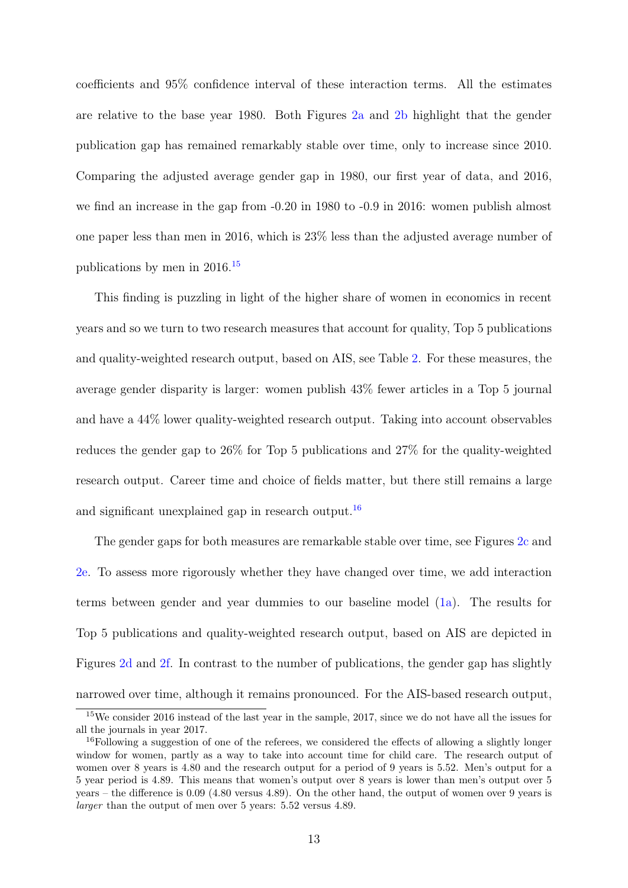coefficients and 95% confidence interval of these interaction terms. All the estimates are relative to the base year 1980. Both Figures [2a](#page-28-0) and [2b](#page-28-0) highlight that the gender publication gap has remained remarkably stable over time, only to increase since 2010. Comparing the adjusted average gender gap in 1980, our first year of data, and 2016, we find an increase in the gap from -0.20 in 1980 to -0.9 in 2016: women publish almost one paper less than men in 2016, which is 23% less than the adjusted average number of publications by men in 2016.[15](#page-13-0)

This finding is puzzling in light of the higher share of women in economics in recent years and so we turn to two research measures that account for quality, Top 5 publications and quality-weighted research output, based on AIS, see Table [2.](#page-27-0) For these measures, the average gender disparity is larger: women publish 43% fewer articles in a Top 5 journal and have a 44% lower quality-weighted research output. Taking into account observables reduces the gender gap to 26% for Top 5 publications and 27% for the quality-weighted research output. Career time and choice of fields matter, but there still remains a large and significant unexplained gap in research output.<sup>[16](#page-13-1)</sup>

The gender gaps for both measures are remarkable stable over time, see Figures [2c](#page-28-0) and [2e.](#page-28-0) To assess more rigorously whether they have changed over time, we add interaction terms between gender and year dummies to our baseline model [\(1a\)](#page-5-4). The results for Top 5 publications and quality-weighted research output, based on AIS are depicted in Figures [2d](#page-28-0) and [2f.](#page-28-0) In contrast to the number of publications, the gender gap has slightly narrowed over time, although it remains pronounced. For the AIS-based research output,

<span id="page-13-0"></span><sup>&</sup>lt;sup>15</sup>We consider 2016 instead of the last year in the sample, 2017, since we do not have all the issues for all the journals in year 2017.

<span id="page-13-1"></span><sup>&</sup>lt;sup>16</sup>Following a suggestion of one of the referees, we considered the effects of allowing a slightly longer window for women, partly as a way to take into account time for child care. The research output of women over 8 years is 4.80 and the research output for a period of 9 years is 5.52. Men's output for a 5 year period is 4.89. This means that women's output over 8 years is lower than men's output over 5 years – the difference is 0.09 (4.80 versus 4.89). On the other hand, the output of women over 9 years is larger than the output of men over 5 years: 5.52 versus 4.89.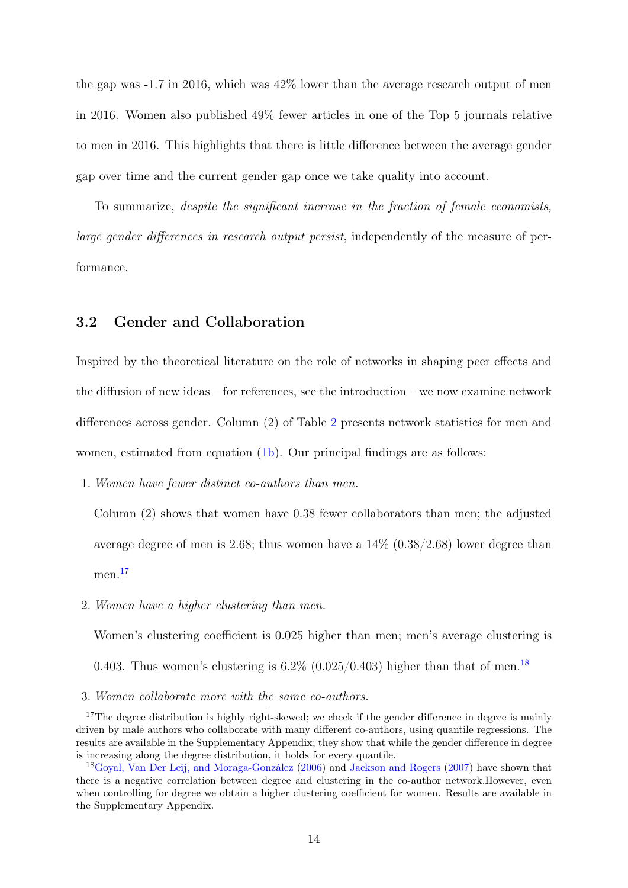the gap was -1.7 in 2016, which was 42% lower than the average research output of men in 2016. Women also published 49% fewer articles in one of the Top 5 journals relative to men in 2016. This highlights that there is little difference between the average gender gap over time and the current gender gap once we take quality into account.

To summarize, despite the significant increase in the fraction of female economists, large gender differences in research output persist, independently of the measure of performance.

### 3.2 Gender and Collaboration

Inspired by the theoretical literature on the role of networks in shaping peer effects and the diffusion of new ideas – for references, see the introduction – we now examine network differences across gender. Column (2) of Table [2](#page-27-0) presents network statistics for men and women, estimated from equation [\(1b\)](#page-5-3). Our principal findings are as follows:

1. Women have fewer distinct co-authors than men.

Column (2) shows that women have 0.38 fewer collaborators than men; the adjusted average degree of men is 2.68; thus women have a  $14\%$  (0.38/2.68) lower degree than men<sup>[17](#page-14-0)</sup>

2. Women have a higher clustering than men.

Women's clustering coefficient is 0.025 higher than men; men's average clustering is

0.403. Thus women's clustering is  $6.2\%$  (0.025/0.403) higher than that of men.<sup>[18](#page-14-1)</sup>

3. Women collaborate more with the same co-authors.

<span id="page-14-0"></span><sup>&</sup>lt;sup>17</sup>The degree distribution is highly right-skewed; we check if the gender difference in degree is mainly driven by male authors who collaborate with many different co-authors, using quantile regressions. The results are available in the Supplementary Appendix; they show that while the gender difference in degree is increasing along the degree distribution, it holds for every quantile.

<span id="page-14-1"></span><sup>18</sup>[Goyal, Van Der Leij, and Moraga-González](#page-24-16) [\(2006\)](#page-24-16) and [Jackson and Rogers](#page-24-19) [\(2007\)](#page-24-19) have shown that there is a negative correlation between degree and clustering in the co-author network.However, even when controlling for degree we obtain a higher clustering coefficient for women. Results are available in the Supplementary Appendix.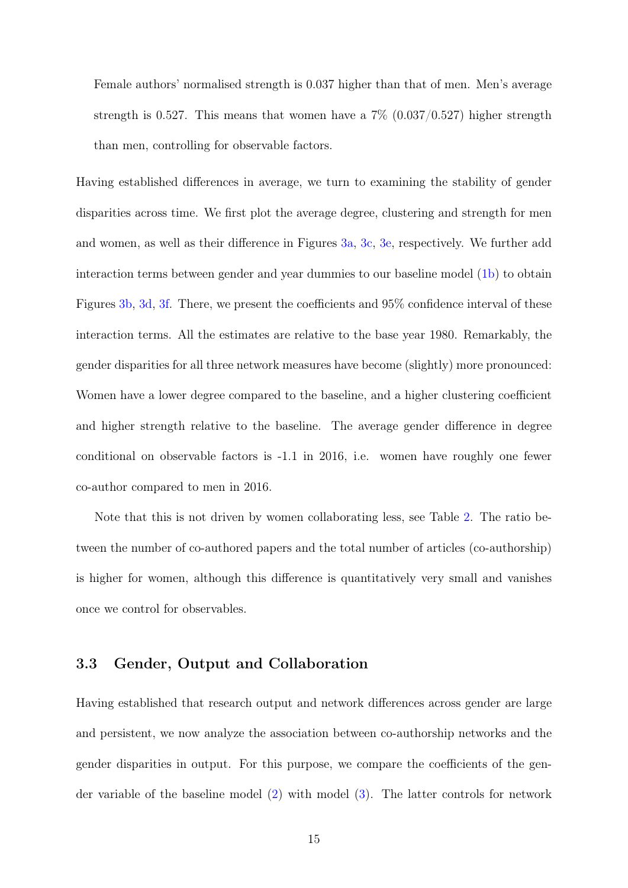Female authors' normalised strength is 0.037 higher than that of men. Men's average strength is 0.527. This means that women have a  $7\%$  (0.037/0.527) higher strength than men, controlling for observable factors.

Having established differences in average, we turn to examining the stability of gender disparities across time. We first plot the average degree, clustering and strength for men and women, as well as their difference in Figures [3a,](#page-29-0) [3c,](#page-29-0) [3e,](#page-29-0) respectively. We further add interaction terms between gender and year dummies to our baseline model [\(1b\)](#page-5-3) to obtain Figures [3b,](#page-29-0) [3d,](#page-29-0) [3f.](#page-29-0) There, we present the coefficients and 95% confidence interval of these interaction terms. All the estimates are relative to the base year 1980. Remarkably, the gender disparities for all three network measures have become (slightly) more pronounced: Women have a lower degree compared to the baseline, and a higher clustering coefficient and higher strength relative to the baseline. The average gender difference in degree conditional on observable factors is -1.1 in 2016, i.e. women have roughly one fewer co-author compared to men in 2016.

Note that this is not driven by women collaborating less, see Table [2.](#page-27-0) The ratio between the number of co-authored papers and the total number of articles (co-authorship) is higher for women, although this difference is quantitatively very small and vanishes once we control for observables.

#### 3.3 Gender, Output and Collaboration

Having established that research output and network differences across gender are large and persistent, we now analyze the association between co-authorship networks and the gender disparities in output. For this purpose, we compare the coefficients of the gender variable of the baseline model [\(2\)](#page-6-2) with model [\(3\)](#page-6-3). The latter controls for network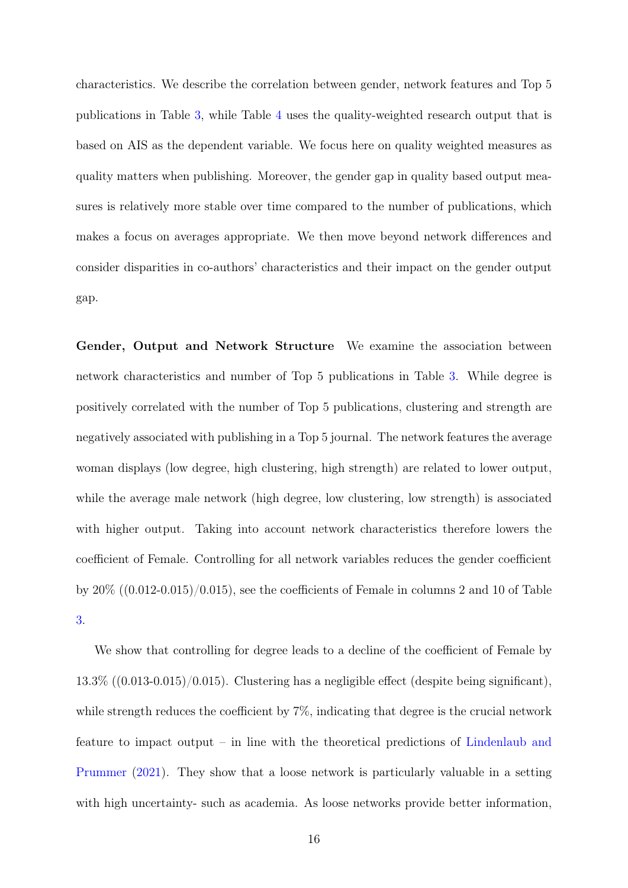characteristics. We describe the correlation between gender, network features and Top 5 publications in Table [3,](#page-30-0) while Table [4](#page-31-0) uses the quality-weighted research output that is based on AIS as the dependent variable. We focus here on quality weighted measures as quality matters when publishing. Moreover, the gender gap in quality based output measures is relatively more stable over time compared to the number of publications, which makes a focus on averages appropriate. We then move beyond network differences and consider disparities in co-authors' characteristics and their impact on the gender output gap.

Gender, Output and Network Structure We examine the association between network characteristics and number of Top 5 publications in Table [3.](#page-30-0) While degree is positively correlated with the number of Top 5 publications, clustering and strength are negatively associated with publishing in a Top 5 journal. The network features the average woman displays (low degree, high clustering, high strength) are related to lower output, while the average male network (high degree, low clustering, low strength) is associated with higher output. Taking into account network characteristics therefore lowers the coefficient of Female. Controlling for all network variables reduces the gender coefficient by  $20\%$  ((0.012-0.015)/0.015), see the coefficients of Female in columns 2 and 10 of Table [3.](#page-30-0)

We show that controlling for degree leads to a decline of the coefficient of Female by 13.3% ((0.013-0.015)/0.015). Clustering has a negligible effect (despite being significant), while strength reduces the coefficient by  $7\%$ , indicating that degree is the crucial network feature to impact output – in line with the theoretical predictions of [Lindenlaub and](#page-24-0) [Prummer](#page-24-0) [\(2021\)](#page-24-0). They show that a loose network is particularly valuable in a setting with high uncertainty- such as academia. As loose networks provide better information,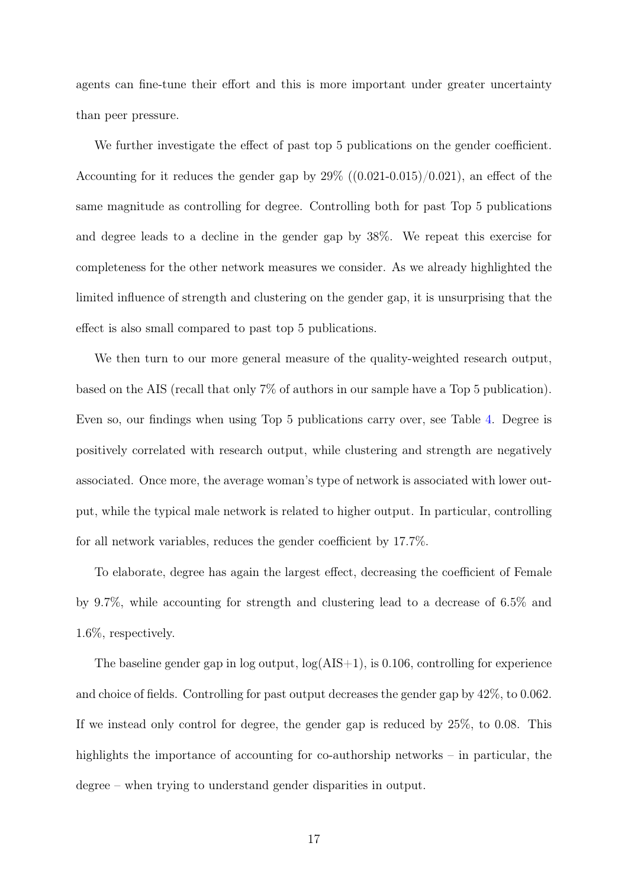agents can fine-tune their effort and this is more important under greater uncertainty than peer pressure.

We further investigate the effect of past top 5 publications on the gender coefficient. Accounting for it reduces the gender gap by  $29\%$  ((0.021-0.015)/0.021), an effect of the same magnitude as controlling for degree. Controlling both for past Top 5 publications and degree leads to a decline in the gender gap by 38%. We repeat this exercise for completeness for the other network measures we consider. As we already highlighted the limited influence of strength and clustering on the gender gap, it is unsurprising that the effect is also small compared to past top 5 publications.

We then turn to our more general measure of the quality-weighted research output, based on the AIS (recall that only 7% of authors in our sample have a Top 5 publication). Even so, our findings when using Top 5 publications carry over, see Table [4.](#page-31-0) Degree is positively correlated with research output, while clustering and strength are negatively associated. Once more, the average woman's type of network is associated with lower output, while the typical male network is related to higher output. In particular, controlling for all network variables, reduces the gender coefficient by 17.7%.

To elaborate, degree has again the largest effect, decreasing the coefficient of Female by 9.7%, while accounting for strength and clustering lead to a decrease of 6.5% and 1.6%, respectively.

The baseline gender gap in log output,  $log(AIS+1)$ , is 0.106, controlling for experience and choice of fields. Controlling for past output decreases the gender gap by 42%, to 0.062. If we instead only control for degree, the gender gap is reduced by 25%, to 0.08. This highlights the importance of accounting for co-authorship networks – in particular, the degree – when trying to understand gender disparities in output.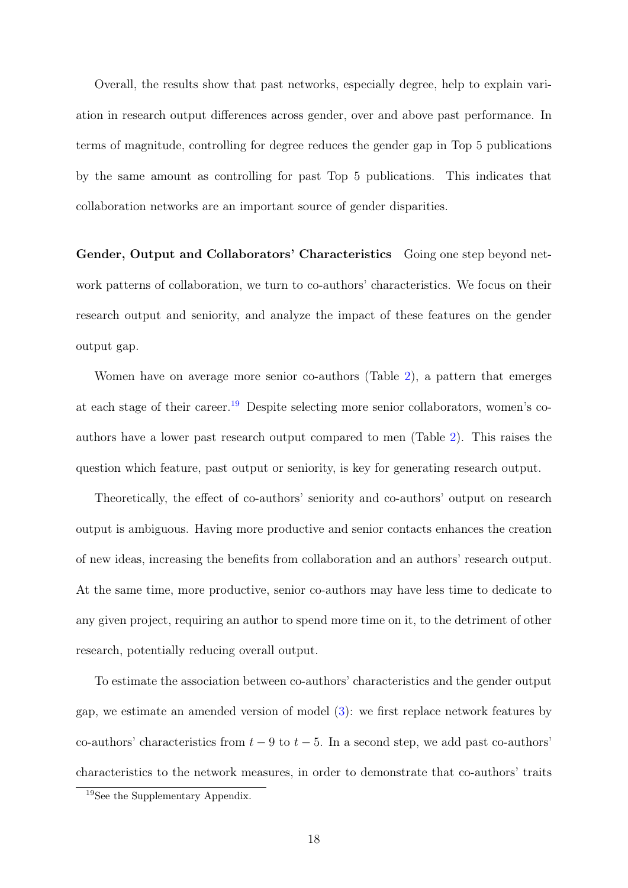Overall, the results show that past networks, especially degree, help to explain variation in research output differences across gender, over and above past performance. In terms of magnitude, controlling for degree reduces the gender gap in Top 5 publications by the same amount as controlling for past Top 5 publications. This indicates that collaboration networks are an important source of gender disparities.

Gender, Output and Collaborators' Characteristics Going one step beyond network patterns of collaboration, we turn to co-authors' characteristics. We focus on their research output and seniority, and analyze the impact of these features on the gender output gap.

Women have on average more senior co-authors (Table [2\)](#page-27-0), a pattern that emerges at each stage of their career.[19](#page-18-0) Despite selecting more senior collaborators, women's coauthors have a lower past research output compared to men (Table [2\)](#page-27-0). This raises the question which feature, past output or seniority, is key for generating research output.

Theoretically, the effect of co-authors' seniority and co-authors' output on research output is ambiguous. Having more productive and senior contacts enhances the creation of new ideas, increasing the benefits from collaboration and an authors' research output. At the same time, more productive, senior co-authors may have less time to dedicate to any given project, requiring an author to spend more time on it, to the detriment of other research, potentially reducing overall output.

To estimate the association between co-authors' characteristics and the gender output gap, we estimate an amended version of model [\(3\)](#page-6-3): we first replace network features by co-authors' characteristics from  $t - 9$  to  $t - 5$ . In a second step, we add past co-authors' characteristics to the network measures, in order to demonstrate that co-authors' traits

<span id="page-18-0"></span><sup>19</sup>See the Supplementary Appendix.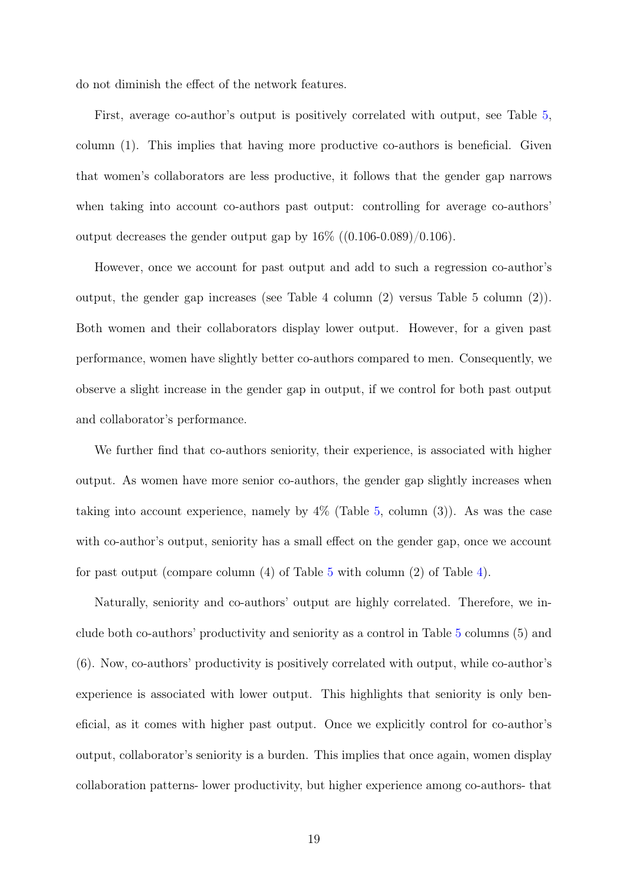do not diminish the effect of the network features.

First, average co-author's output is positively correlated with output, see Table [5,](#page-32-0) column (1). This implies that having more productive co-authors is beneficial. Given that women's collaborators are less productive, it follows that the gender gap narrows when taking into account co-authors past output: controlling for average co-authors' output decreases the gender output gap by  $16\%$  ((0.106-0.089)/0.106).

However, once we account for past output and add to such a regression co-author's output, the gender gap increases (see Table 4 column (2) versus Table 5 column (2)). Both women and their collaborators display lower output. However, for a given past performance, women have slightly better co-authors compared to men. Consequently, we observe a slight increase in the gender gap in output, if we control for both past output and collaborator's performance.

We further find that co-authors seniority, their experience, is associated with higher output. As women have more senior co-authors, the gender gap slightly increases when taking into account experience, namely by  $4\%$  (Table [5,](#page-32-0) column (3)). As was the case with co-author's output, seniority has a small effect on the gender gap, once we account for past output (compare column (4) of Table [5](#page-32-0) with column (2) of Table [4\)](#page-31-0).

Naturally, seniority and co-authors' output are highly correlated. Therefore, we include both co-authors' productivity and seniority as a control in Table [5](#page-32-0) columns (5) and (6). Now, co-authors' productivity is positively correlated with output, while co-author's experience is associated with lower output. This highlights that seniority is only beneficial, as it comes with higher past output. Once we explicitly control for co-author's output, collaborator's seniority is a burden. This implies that once again, women display collaboration patterns- lower productivity, but higher experience among co-authors- that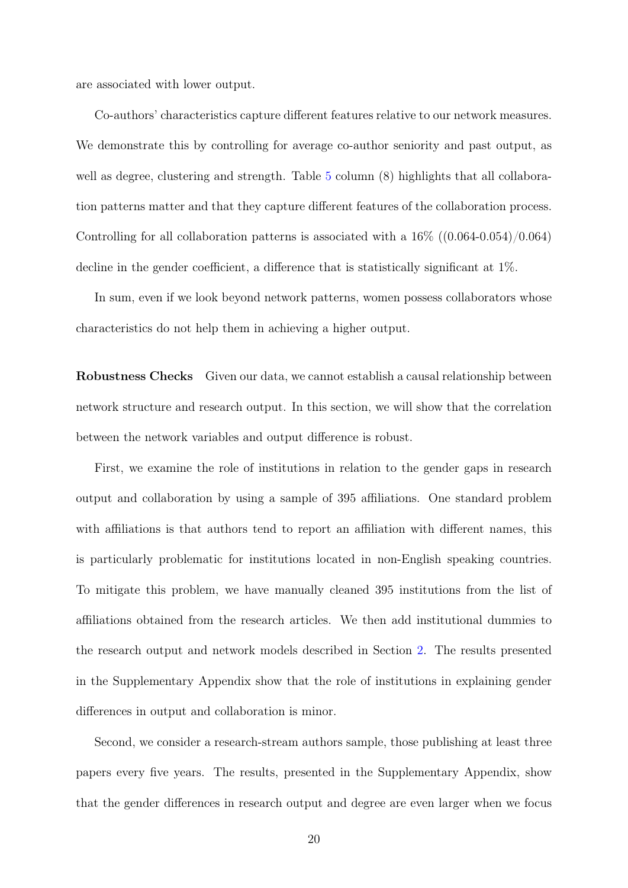are associated with lower output.

Co-authors' characteristics capture different features relative to our network measures. We demonstrate this by controlling for average co-author seniority and past output, as well as degree, clustering and strength. Table [5](#page-32-0) column (8) highlights that all collaboration patterns matter and that they capture different features of the collaboration process. Controlling for all collaboration patterns is associated with a 16% ((0.064-0.054)/0.064) decline in the gender coefficient, a difference that is statistically significant at 1%.

In sum, even if we look beyond network patterns, women possess collaborators whose characteristics do not help them in achieving a higher output.

Robustness Checks Given our data, we cannot establish a causal relationship between network structure and research output. In this section, we will show that the correlation between the network variables and output difference is robust.

First, we examine the role of institutions in relation to the gender gaps in research output and collaboration by using a sample of 395 affiliations. One standard problem with affiliations is that authors tend to report an affiliation with different names, this is particularly problematic for institutions located in non-English speaking countries. To mitigate this problem, we have manually cleaned 395 institutions from the list of affiliations obtained from the research articles. We then add institutional dummies to the research output and network models described in Section [2.](#page-4-1) The results presented in the Supplementary Appendix show that the role of institutions in explaining gender differences in output and collaboration is minor.

Second, we consider a research-stream authors sample, those publishing at least three papers every five years. The results, presented in the Supplementary Appendix, show that the gender differences in research output and degree are even larger when we focus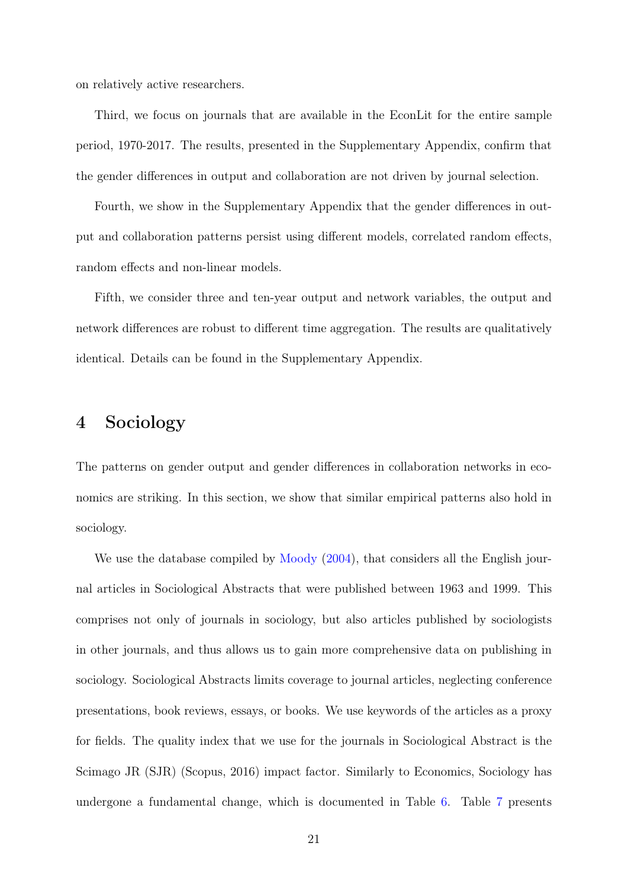on relatively active researchers.

Third, we focus on journals that are available in the EconLit for the entire sample period, 1970-2017. The results, presented in the Supplementary Appendix, confirm that the gender differences in output and collaboration are not driven by journal selection.

Fourth, we show in the Supplementary Appendix that the gender differences in output and collaboration patterns persist using different models, correlated random effects, random effects and non-linear models.

Fifth, we consider three and ten-year output and network variables, the output and network differences are robust to different time aggregation. The results are qualitatively identical. Details can be found in the Supplementary Appendix.

### <span id="page-21-0"></span>4 Sociology

The patterns on gender output and gender differences in collaboration networks in economics are striking. In this section, we show that similar empirical patterns also hold in sociology.

We use the database compiled by [Moody](#page-25-3)  $(2004)$ , that considers all the English journal articles in Sociological Abstracts that were published between 1963 and 1999. This comprises not only of journals in sociology, but also articles published by sociologists in other journals, and thus allows us to gain more comprehensive data on publishing in sociology. Sociological Abstracts limits coverage to journal articles, neglecting conference presentations, book reviews, essays, or books. We use keywords of the articles as a proxy for fields. The quality index that we use for the journals in Sociological Abstract is the Scimago JR (SJR) (Scopus, 2016) impact factor. Similarly to Economics, Sociology has undergone a fundamental change, which is documented in Table [6.](#page-33-0) Table [7](#page-34-0) presents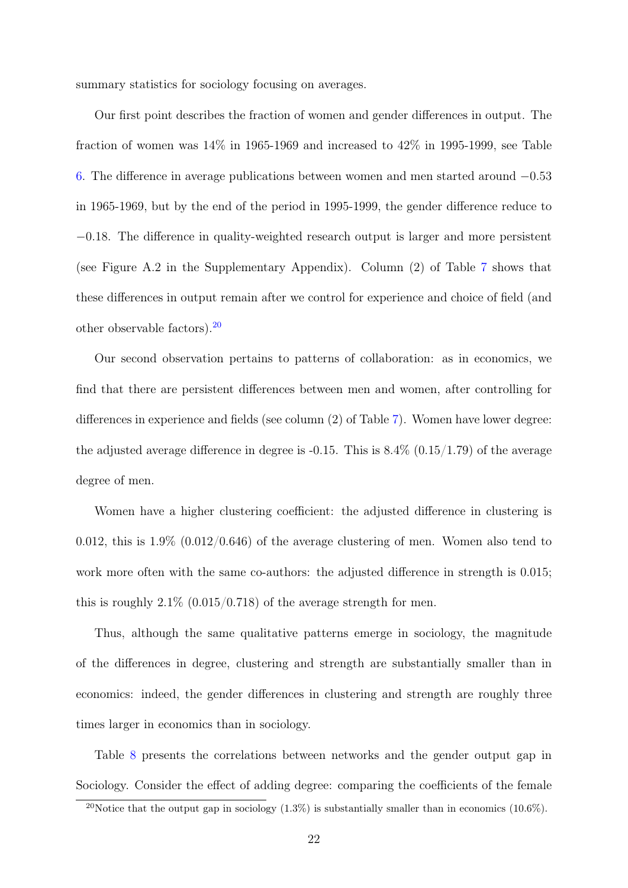summary statistics for sociology focusing on averages.

Our first point describes the fraction of women and gender differences in output. The fraction of women was 14% in 1965-1969 and increased to 42% in 1995-1999, see Table [6.](#page-33-0) The difference in average publications between women and men started around −0.53 in 1965-1969, but by the end of the period in 1995-1999, the gender difference reduce to −0.18. The difference in quality-weighted research output is larger and more persistent (see Figure A.2 in the Supplementary Appendix). Column (2) of Table [7](#page-34-0) shows that these differences in output remain after we control for experience and choice of field (and other observable factors).[20](#page-22-0)

Our second observation pertains to patterns of collaboration: as in economics, we find that there are persistent differences between men and women, after controlling for differences in experience and fields (see column (2) of Table [7\)](#page-34-0). Women have lower degree: the adjusted average difference in degree is  $-0.15$ . This is  $8.4\%$  ( $0.15/1.79$ ) of the average degree of men.

Women have a higher clustering coefficient: the adjusted difference in clustering is 0.012, this is  $1.9\%$  (0.012/0.646) of the average clustering of men. Women also tend to work more often with the same co-authors: the adjusted difference in strength is  $0.015$ ; this is roughly  $2.1\%$  (0.015/0.718) of the average strength for men.

Thus, although the same qualitative patterns emerge in sociology, the magnitude of the differences in degree, clustering and strength are substantially smaller than in economics: indeed, the gender differences in clustering and strength are roughly three times larger in economics than in sociology.

Table [8](#page-35-0) presents the correlations between networks and the gender output gap in Sociology. Consider the effect of adding degree: comparing the coefficients of the female

<span id="page-22-0"></span><sup>&</sup>lt;sup>20</sup>Notice that the output gap in sociology  $(1.3\%)$  is substantially smaller than in economics  $(10.6\%)$ .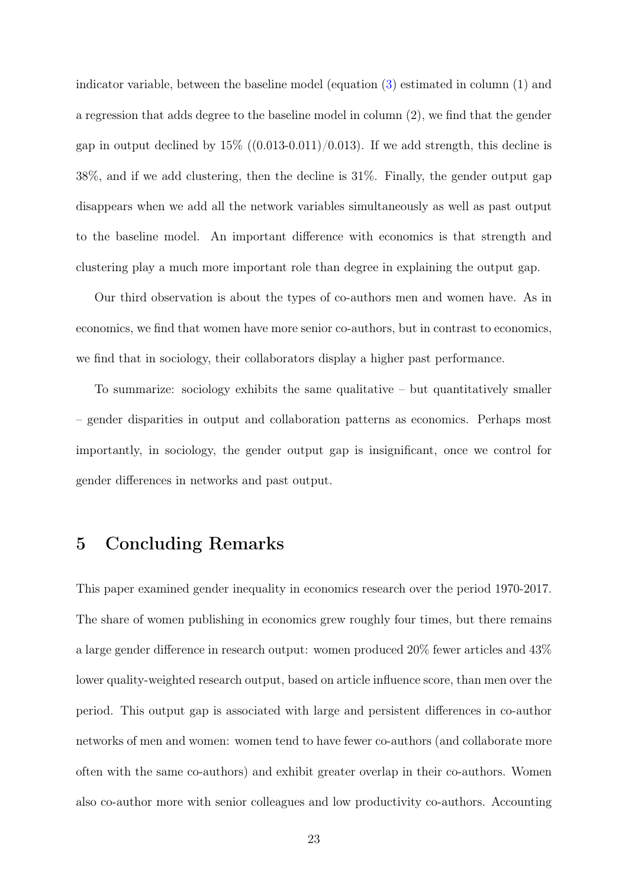indicator variable, between the baseline model (equation [\(3\)](#page-6-3) estimated in column (1) and a regression that adds degree to the baseline model in column (2), we find that the gender gap in output declined by  $15\%$  ((0.013-0.011)/0.013). If we add strength, this decline is 38%, and if we add clustering, then the decline is 31%. Finally, the gender output gap disappears when we add all the network variables simultaneously as well as past output to the baseline model. An important difference with economics is that strength and clustering play a much more important role than degree in explaining the output gap.

Our third observation is about the types of co-authors men and women have. As in economics, we find that women have more senior co-authors, but in contrast to economics, we find that in sociology, their collaborators display a higher past performance.

To summarize: sociology exhibits the same qualitative – but quantitatively smaller – gender disparities in output and collaboration patterns as economics. Perhaps most importantly, in sociology, the gender output gap is insignificant, once we control for gender differences in networks and past output.

### <span id="page-23-0"></span>5 Concluding Remarks

This paper examined gender inequality in economics research over the period 1970-2017. The share of women publishing in economics grew roughly four times, but there remains a large gender difference in research output: women produced 20% fewer articles and 43% lower quality-weighted research output, based on article influence score, than men over the period. This output gap is associated with large and persistent differences in co-author networks of men and women: women tend to have fewer co-authors (and collaborate more often with the same co-authors) and exhibit greater overlap in their co-authors. Women also co-author more with senior colleagues and low productivity co-authors. Accounting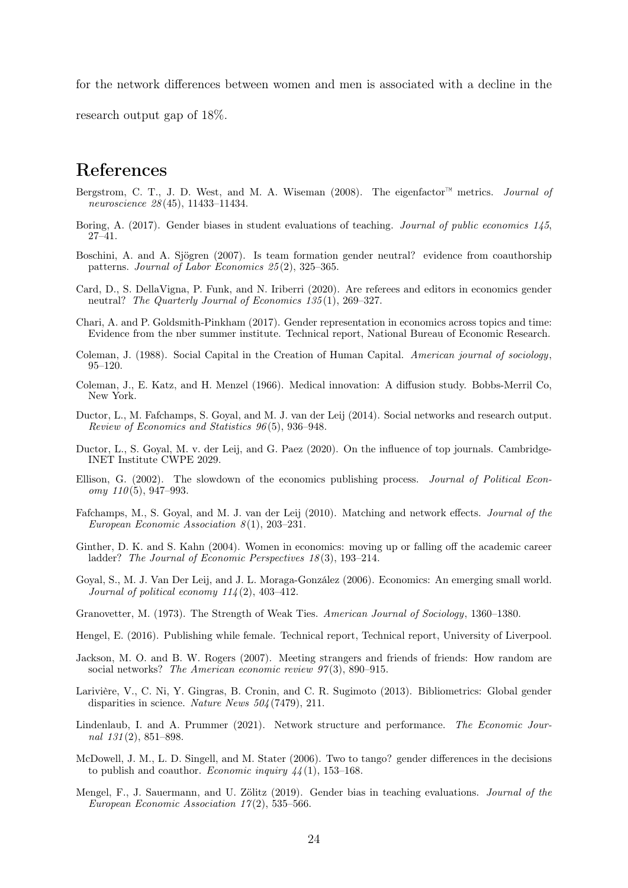for the network differences between women and men is associated with a decline in the

research output gap of 18%.

## References

- <span id="page-24-18"></span>Bergstrom, C. T., J. D. West, and M. A. Wiseman (2008). The eigenfactor<sup>™</sup> metrics. *Journal of* neuroscience 28 (45), 11433–11434.
- <span id="page-24-8"></span>Boring, A. (2017). Gender biases in student evaluations of teaching. Journal of public economics 145, 27–41.
- <span id="page-24-4"></span>Boschini, A. and A. Sjögren (2007). Is team formation gender neutral? evidence from coauthorship patterns. Journal of Labor Economics 25 (2), 325–365.
- <span id="page-24-10"></span>Card, D., S. DellaVigna, P. Funk, and N. Iriberri (2020). Are referees and editors in economics gender neutral? The Quarterly Journal of Economics 135(1), 269–327.
- <span id="page-24-7"></span>Chari, A. and P. Goldsmith-Pinkham (2017). Gender representation in economics across topics and time: Evidence from the nber summer institute. Technical report, National Bureau of Economic Research.
- <span id="page-24-2"></span>Coleman, J. (1988). Social Capital in the Creation of Human Capital. American journal of sociology, 95–120.
- <span id="page-24-1"></span>Coleman, J., E. Katz, and H. Menzel (1966). Medical innovation: A diffusion study. Bobbs-Merril Co, New York.
- <span id="page-24-14"></span>Ductor, L., M. Fafchamps, S. Goyal, and M. J. van der Leij (2014). Social networks and research output. Review of Economics and Statistics 96 (5), 936–948.
- <span id="page-24-17"></span>Ductor, L., S. Goyal, M. v. der Leij, and G. Paez (2020). On the influence of top journals. Cambridge-INET Institute CWPE 2029.
- <span id="page-24-15"></span>Ellison, G. (2002). The slowdown of the economics publishing process. Journal of Political Econ $omy 110(5), 947-993.$
- <span id="page-24-13"></span>Fafchamps, M., S. Goyal, and M. J. van der Leij (2010). Matching and network effects. Journal of the European Economic Association  $8(1)$ , 203-231.
- <span id="page-24-11"></span>Ginther, D. K. and S. Kahn (2004). Women in economics: moving up or falling off the academic career ladder? The Journal of Economic Perspectives 18(3), 193-214.
- <span id="page-24-16"></span>Goyal, S., M. J. Van Der Leij, and J. L. Moraga-González (2006). Economics: An emerging small world. Journal of political economy  $114(2)$ , 403-412.
- <span id="page-24-3"></span>Granovetter, M. (1973). The Strength of Weak Ties. American Journal of Sociology, 1360–1380.
- <span id="page-24-6"></span>Hengel, E. (2016). Publishing while female. Technical report, Technical report, University of Liverpool.
- <span id="page-24-19"></span>Jackson, M. O. and B. W. Rogers (2007). Meeting strangers and friends of friends: How random are social networks? The American economic review  $97(3)$ , 890-915.
- <span id="page-24-12"></span>Larivière, V., C. Ni, Y. Gingras, B. Cronin, and C. R. Sugimoto (2013). Bibliometrics: Global gender disparities in science. Nature News 504 (7479), 211.
- <span id="page-24-0"></span>Lindenlaub, I. and A. Prummer (2021). Network structure and performance. The Economic Journal 131 (2), 851–898.
- <span id="page-24-5"></span>McDowell, J. M., L. D. Singell, and M. Stater (2006). Two to tango? gender differences in the decisions to publish and coauthor. Economic inquiry  $44(1)$ , 153–168.
- <span id="page-24-9"></span>Mengel, F., J. Sauermann, and U. Zölitz (2019). Gender bias in teaching evaluations. Journal of the European Economic Association  $17(2)$ , 535-566.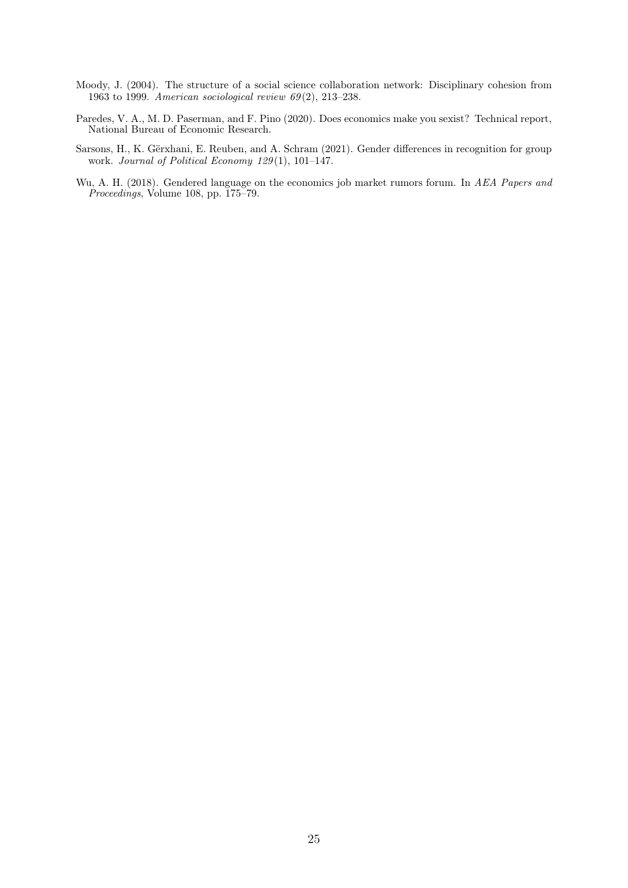- <span id="page-25-3"></span>Moody, J. (2004). The structure of a social science collaboration network: Disciplinary cohesion from 1963 to 1999. American sociological review  $69(2)$ , 213–238.
- <span id="page-25-2"></span>Paredes, V. A., M. D. Paserman, and F. Pino (2020). Does economics make you sexist? Technical report, National Bureau of Economic Research.
- <span id="page-25-0"></span>Sarsons, H., K. Gërxhani, E. Reuben, and A. Schram (2021). Gender differences in recognition for group work. Journal of Political Economy 129(1), 101-147.
- <span id="page-25-1"></span>Wu, A. H. (2018). Gendered language on the economics job market rumors forum. In AEA Papers and Proceedings, Volume 108, pp. 175–79.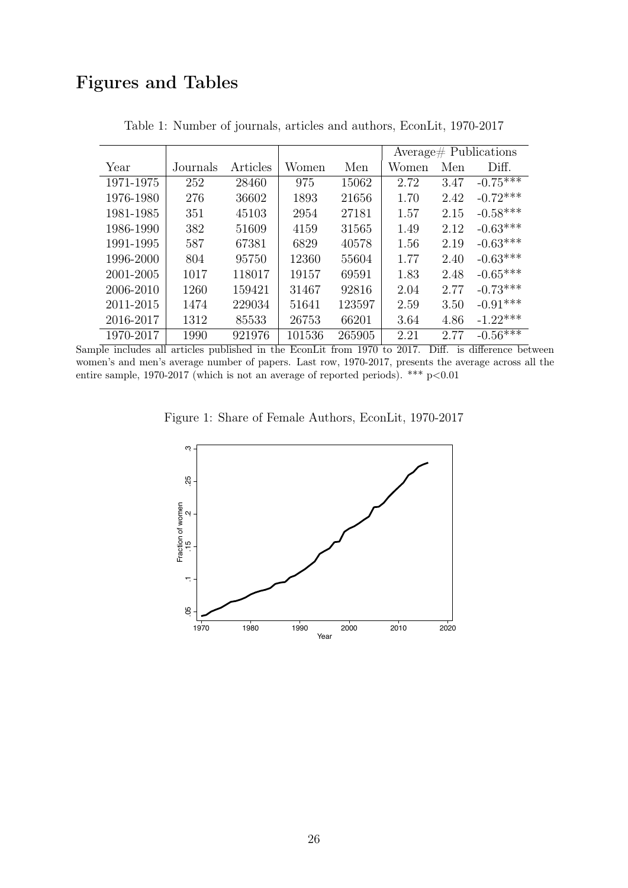# Figures and Tables

<span id="page-26-0"></span>

|           |          |          |        |        |       |      | Average# Publications |
|-----------|----------|----------|--------|--------|-------|------|-----------------------|
| Year      | Journals | Articles | Women  | Men    | Women | Men  | Diff.                 |
| 1971-1975 | 252      | 28460    | 975    | 15062  | 2.72  | 3.47 | $-0.75***$            |
| 1976-1980 | 276      | 36602    | 1893   | 21656  | 1.70  | 2.42 | $-0.72***$            |
| 1981-1985 | 351      | 45103    | 2954   | 27181  | 1.57  | 2.15 | $-0.58***$            |
| 1986-1990 | 382      | 51609    | 4159   | 31565  | 1.49  | 2.12 | $-0.63***$            |
| 1991-1995 | 587      | 67381    | 6829   | 40578  | 1.56  | 2.19 | $-0.63***$            |
| 1996-2000 | 804      | 95750    | 12360  | 55604  | 1.77  | 2.40 | $-0.63***$            |
| 2001-2005 | 1017     | 118017   | 19157  | 69591  | 1.83  | 2.48 | $-0.65***$            |
| 2006-2010 | 1260     | 159421   | 31467  | 92816  | 2.04  | 2.77 | $-0.73***$            |
| 2011-2015 | 1474     | 229034   | 51641  | 123597 | 2.59  | 3.50 | $-0.91***$            |
| 2016-2017 | 1312     | 85533    | 26753  | 66201  | 3.64  | 4.86 | $-1.22***$            |
| 1970-2017 | 1990     | 921976   | 101536 | 265905 | 2.21  | 2.77 | $-0.56****$           |

Table 1: Number of journals, articles and authors, EconLit, 1970-2017

<span id="page-26-1"></span>Sample includes all articles published in the EconLit from 1970 to 2017. Diff. is difference between women's and men's average number of papers. Last row, 1970-2017, presents the average across all the entire sample, 1970-2017 (which is not an average of reported periods). \*\*\*  $p<0.01$ 



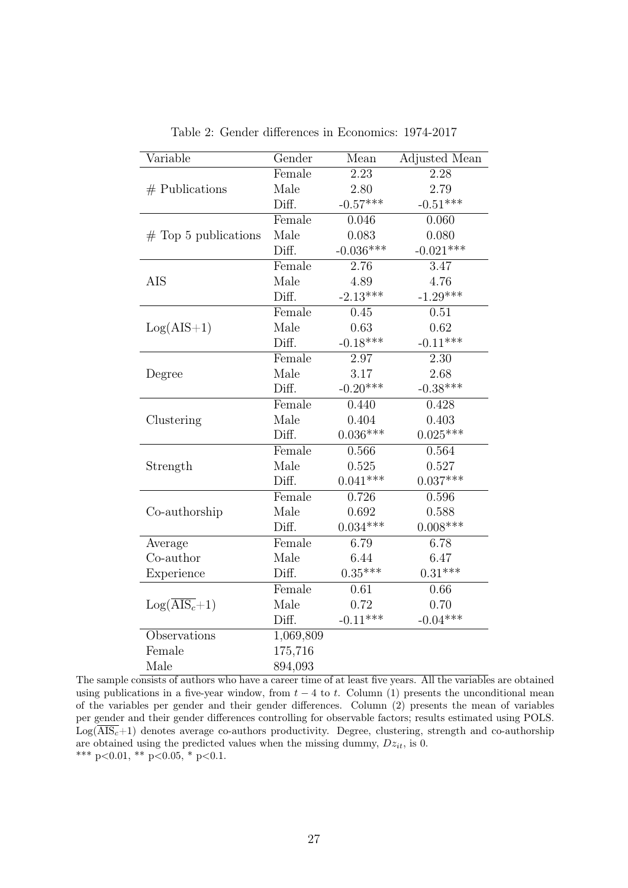<span id="page-27-0"></span>

| Variable                         | Gender    | Mean              | Adjusted Mean |
|----------------------------------|-----------|-------------------|---------------|
|                                  | Female    | $\overline{2.23}$ | 2.28          |
| $#$ Publications                 | Male      | 2.80              | 2.79          |
|                                  | Diff.     | $-0.57***$        | $-0.51***$    |
|                                  | Female    | 0.046             | 0.060         |
| $#$ Top 5 publications           | Male      | 0.083             | 0.080         |
|                                  | Diff.     | $-0.036***$       | $-0.021***$   |
|                                  | Female    | 2.76              | 3.47          |
| AIS                              | Male      | 4.89              | 4.76          |
|                                  | Diff.     | $-2.13***$        | $-1.29***$    |
|                                  | Female    | 0.45              | 0.51          |
| $Log(AIS+1)$                     | Male      | 0.63              | 0.62          |
|                                  | Diff.     | $-0.18***$        | $-0.11***$    |
|                                  | Female    | 2.97              | 2.30          |
| Degree                           | Male      | 3.17              | 2.68          |
|                                  | Diff.     | $-0.20***$        | $-0.38***$    |
|                                  | Female    | 0.440             | 0.428         |
| Clustering                       | Male      | 0.404             | 0.403         |
|                                  | Diff.     | $0.036***$        | $0.025***$    |
|                                  | Female    | 0.566             | 0.564         |
| Strength                         | Male      | 0.525             | 0.527         |
|                                  | Diff.     | $0.041***$        | $0.037***$    |
|                                  | Female    | 0.726             | 0.596         |
| Co-authorship                    | Male      | 0.692             | 0.588         |
|                                  | Diff.     | $0.034***$        | $0.008***$    |
| Average                          | Female    | 6.79              | 6.78          |
| Co-author                        | Male      | 6.44              | 6.47          |
| Experience                       | Diff.     | $0.35***$         | $0.31***$     |
|                                  | Female    | 0.61              | 0.66          |
| $Log(\overline{\text{AIS}_c}+1)$ | Male      | 0.72              | 0.70          |
|                                  | Diff.     | $-0.11***$        | $-0.04***$    |
| Observations                     | 1,069,809 |                   |               |
| Female                           | 175,716   |                   |               |
| Male                             | 894,093   |                   |               |

Table 2: Gender differences in Economics: 1974-2017

The sample consists of authors who have a career time of at least five years. All the variables are obtained using publications in a five-year window, from  $t - 4$  to t. Column (1) presents the unconditional mean of the variables per gender and their gender differences. Column (2) presents the mean of variables per gender and their gender differences controlling for observable factors; results estimated using POLS.  $Log(\overline{\text{AIS}_c}+1)$  denotes average co-authors productivity. Degree, clustering, strength and co-authorship are obtained using the predicted values when the missing dummy,  $Dz_{it}$ , is 0. \*\*\* p<0.01, \*\* p<0.05, \* p<0.1.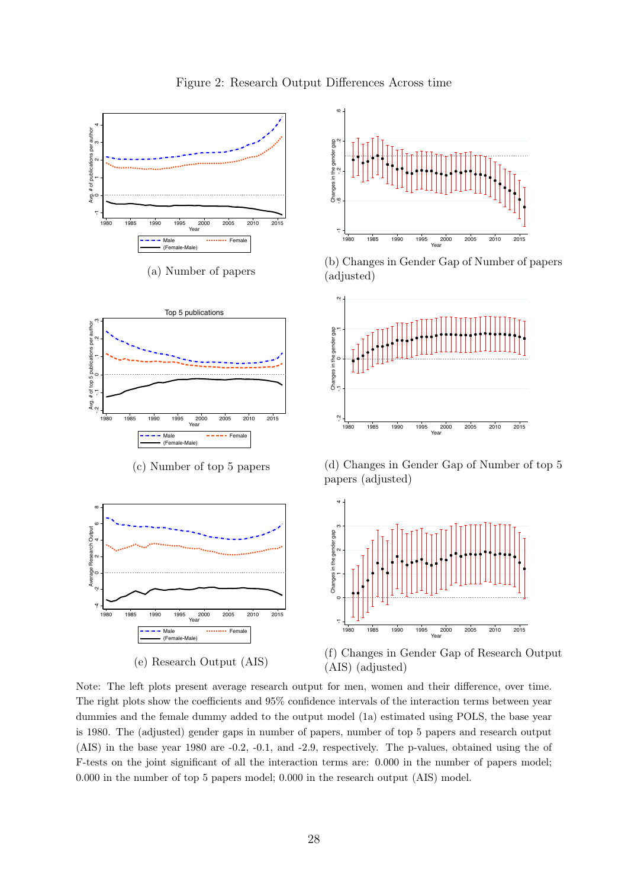<span id="page-28-0"></span>

 $\rightarrow$ 1980 1985 1990 1995 2000 2005 2010 2015 Year Male ......... Female  $(Female$ (e) Research Output (AIS)



(f) Changes in Gender Gap of Research Output (AIS) (adjusted)

Note: The left plots present average research output for men, women and their difference, over time. The right plots show the coefficients and 95% confidence intervals of the interaction terms between year dummies and the female dummy added to the output model (1a) estimated using POLS, the base year is 1980. The (adjusted) gender gaps in number of papers, number of top 5 papers and research output (AIS) in the base year 1980 are -0.2, -0.1, and -2.9, respectively. The p-values, obtained using the of F-tests on the joint significant of all the interaction terms are: 0.000 in the number of papers model; 0.000 in the number of top 5 papers model; 0.000 in the research output (AIS) model.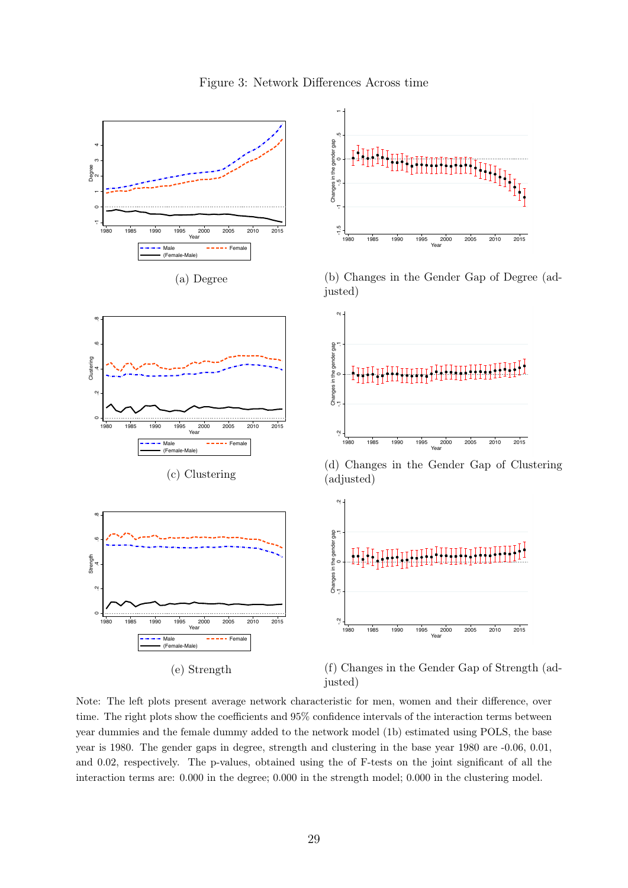<span id="page-29-0"></span>

Figure 3: Network Differences Across time

(e) Strength

(f) Changes in the Gender Gap of Strength (adjusted)

Note: The left plots present average network characteristic for men, women and their difference, over time. The right plots show the coefficients and 95% confidence intervals of the interaction terms between year dummies and the female dummy added to the network model (1b) estimated using POLS, the base year is 1980. The gender gaps in degree, strength and clustering in the base year 1980 are -0.06, 0.01, and 0.02, respectively. The p-values, obtained using the of F-tests on the joint significant of all the interaction terms are: 0.000 in the degree; 0.000 in the strength model; 0.000 in the clustering model.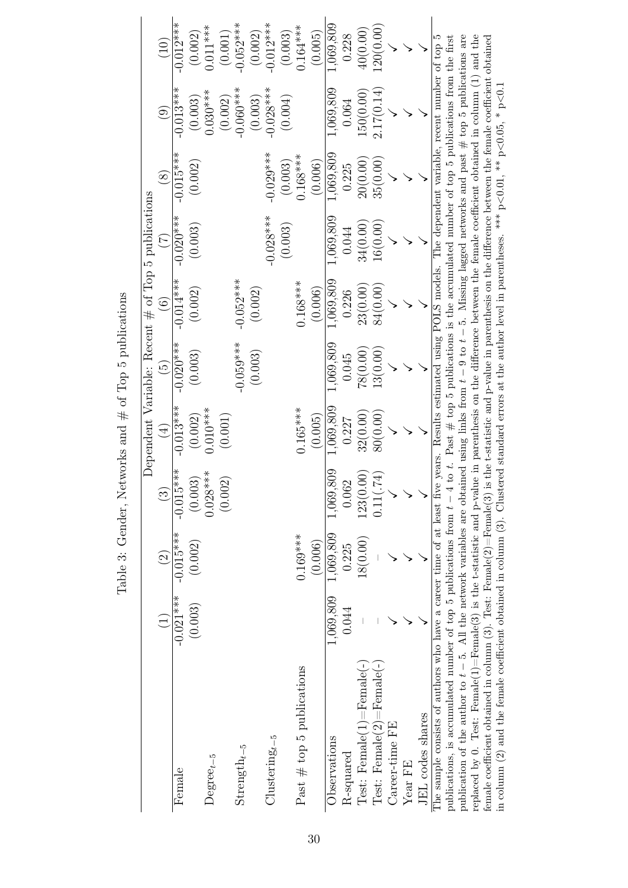<span id="page-30-0"></span>

|                                                                                                                                                                            |             |             |                      |               |                 | Dependent Variable: Recent $\#$ of Top 5 publications |                 |                                   |                                                                                                         |             |
|----------------------------------------------------------------------------------------------------------------------------------------------------------------------------|-------------|-------------|----------------------|---------------|-----------------|-------------------------------------------------------|-----------------|-----------------------------------|---------------------------------------------------------------------------------------------------------|-------------|
|                                                                                                                                                                            |             | $\odot$     | $\widetilde{\omega}$ | $\widehat{4}$ | $\widetilde{5}$ | $\widehat{6}$                                         | $\widetilde{C}$ | $\overset{\text{\it 8}}{_{\sim}}$ | $\bigcirc$                                                                                              | (10)        |
| Female                                                                                                                                                                     | $-0.021***$ | $-0.015***$ | $-0.015***$          | $-0.013***$   | $-0.020***$     | $-0.014***$                                           | $-0.020***$     | $-0.015***$                       | $-0.013***$                                                                                             | $-0.012***$ |
|                                                                                                                                                                            | (0.003)     | (0.002)     | (0.003)              | (0.002)       | (0.003)         | (0.002)                                               | (0.003)         | (0.002)                           | (0.003)                                                                                                 | (0.002)     |
| $Degree_{t-5}$                                                                                                                                                             |             |             | $***$<br>0.028       | $0.010***$    |                 |                                                       |                 |                                   | $0.030***$                                                                                              | $0.011***$  |
|                                                                                                                                                                            |             |             | (0.002)              | (0.001)       |                 |                                                       |                 |                                   | (0.002)                                                                                                 | (0.001)     |
| Strength $_{t-5}$                                                                                                                                                          |             |             |                      |               | $-0.059***$     | $-0.052***$                                           |                 |                                   | $-0.060***$                                                                                             | $-0.052***$ |
|                                                                                                                                                                            |             |             |                      |               | (0.003)         | (0.002)                                               |                 |                                   | (0.003)                                                                                                 | (0.002)     |
| $Clustering_{t-5}$                                                                                                                                                         |             |             |                      |               |                 |                                                       | $-0.028***$     | $-0.029***$                       | $-0.028***$                                                                                             | $-0.012***$ |
|                                                                                                                                                                            |             |             |                      |               |                 |                                                       | (0.003)         | (0.003)                           | (0.004)                                                                                                 | (0.003)     |
| Past $# top 5$ publications                                                                                                                                                |             | $0.169***$  |                      | $0.165***$    |                 | $0.168***$                                            |                 | $0.168***$                        |                                                                                                         | $0.164***$  |
|                                                                                                                                                                            |             | (0.006)     |                      | (0.005)       |                 | (0.006)                                               |                 | (0.006)                           |                                                                                                         | (0.005)     |
| Observations                                                                                                                                                               | 1,069,809   | 1,069,809   | 809<br>1,069,        | 1,069,809     | 1,069,809       | 1,069,809                                             | 1,069,809       | 1,069,809                         | 1,069,809                                                                                               | 1,069,809   |
| R-squared                                                                                                                                                                  | 0.044       | 0.225       | 0.062                | 0.227         | 0.045           | 0.226                                                 | 0.044           | 0.225                             | 0.064                                                                                                   | 0.228       |
| $Test: Female(1) = Female(-)$                                                                                                                                              |             | 18(0.00)    | $\odot$<br>123(0,    | 32(0.00)      | 78(0.00)        | 23(0.00)                                              | 34(0.00)        | 20(0.00                           | 150(0.00)                                                                                               | 40(0.00)    |
| $Test: Female(2) = Female(-)$                                                                                                                                              |             |             | 74)<br>0.11(         | 80(0.00)      | 13(0.00)        | 84(0.00)                                              | 16(0.00)        | 35(0.00)                          | 2.17(0.14)                                                                                              | 120(0.00)   |
| Career-time FE                                                                                                                                                             |             |             |                      |               |                 |                                                       |                 |                                   |                                                                                                         |             |
| $Year$ FE                                                                                                                                                                  |             |             |                      |               |                 |                                                       |                 |                                   |                                                                                                         |             |
| JEL codes shares                                                                                                                                                           |             |             |                      |               |                 |                                                       |                 |                                   |                                                                                                         |             |
| The sample consists of authors who have a career time of at least five years. Results estimated using POLS models. The dependent variable, recent number of top 5          |             |             |                      |               |                 |                                                       |                 |                                   |                                                                                                         |             |
| publications, is accumulated number of top 5 publications from $t-4$ to t. Past $\#$ top 5 publications is the accumulated number of top 5 publications from the first     |             |             |                      |               |                 |                                                       |                 |                                   |                                                                                                         |             |
| publication of the author to $t-5$ . All the network variables are obtained using links from $t-9$ to $t-5$ . Missing lagged networks and past $\#$ top 5 publications are |             |             |                      |               |                 |                                                       |                 |                                   |                                                                                                         |             |
| replaced by 0. Test: Female(1)=Female(3) is the t-statistic and p-value in parenthesis on the difference between the female coefficient obtained in column (1) and the     |             |             |                      |               |                 |                                                       |                 |                                   |                                                                                                         |             |
| female coefficient obtained in column (3). Test: Female(2)=Female(3)                                                                                                       |             |             |                      |               |                 |                                                       |                 |                                   | is the t-statistic and p-value in parenthesis on the difference between the female coefficient obtained |             |

in column (2) and the female coefficient obtained in column (3). Clustered standard errors at the author level in parentheses. \*\*\* p<0.01, \*\* p<0.05, \* p<0.1

in column (2) and the female coefficient obtained in column (3). Clustered standard errors at the author level in parentheses. \*\*\*  $p < 0.01$ , \*\*  $p < 0.05$ , \*  $p < 0.1$ 

Table 3: Gender, Networks and  $\#$  of Top 5 publications Table 3: Gender, Networks and  $\#$  of Top 5 publications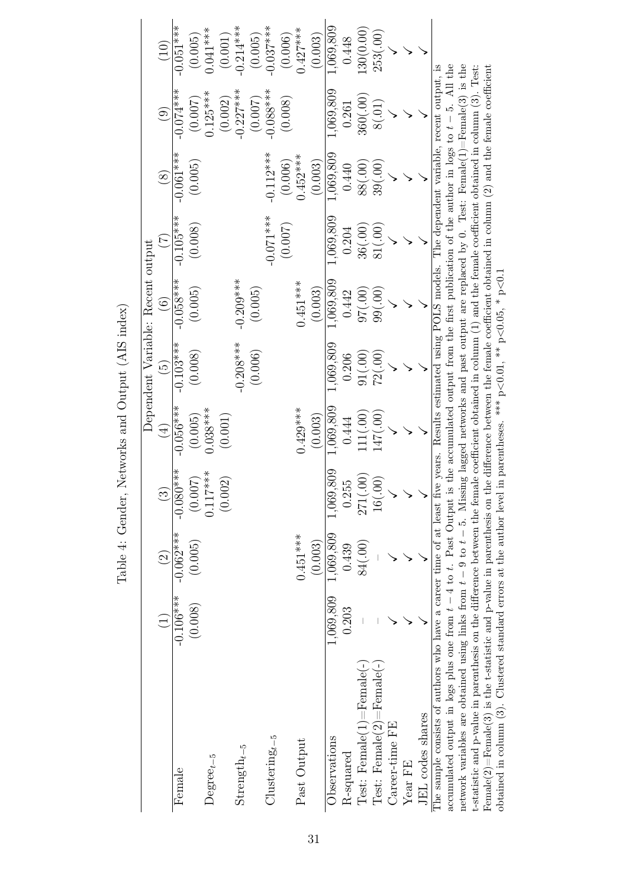<span id="page-31-0"></span>

|                                                                                                                                                                         |                 |                    |               |               |                          | Dependent Variable: Recent output |             |                                                                                            |                        |             |
|-------------------------------------------------------------------------------------------------------------------------------------------------------------------------|-----------------|--------------------|---------------|---------------|--------------------------|-----------------------------------|-------------|--------------------------------------------------------------------------------------------|------------------------|-------------|
|                                                                                                                                                                         | $\widehat{\Xi}$ | $\widehat{\Omega}$ | $\widehat{3}$ | $\widehat{A}$ | $\widetilde{\mathbb{G}}$ | $\widehat{\odot}$                 |             | $\circledS$                                                                                | $\widehat{\mathbf{e}}$ | (10)        |
| Female                                                                                                                                                                  | $-0.106***$     | $-0.062***$        | $-0.080***$   | $-0.056***$   | $-0.103***$              | $-0.058***$                       | $-0.105***$ | $-0.061***$                                                                                | $-0.074***$            | $-0.051***$ |
|                                                                                                                                                                         | (0.008)         | (0.005)            | (0.007)       | (0.005)       | (0.008)                  | (0.005)                           | (0.008)     | (0.005)                                                                                    | (0.007)                | (0.005)     |
| $Degree_{t-5}$                                                                                                                                                          |                 |                    | $0.117***$    | $0.038***$    |                          |                                   |             |                                                                                            | $0.125***$             | $0.041***$  |
|                                                                                                                                                                         |                 |                    | (0.002)       | (0.001)       |                          |                                   |             |                                                                                            | (0.002)                | (0.001)     |
| $Strength_{t-5}$                                                                                                                                                        |                 |                    |               |               | $-0.208***$              | $-0.209***$                       |             |                                                                                            | $-0.227***$            | $-0.214***$ |
|                                                                                                                                                                         |                 |                    |               |               | (0.006)                  | (0.005)                           |             |                                                                                            | (0.007)                | (0.005)     |
| $Clusteringt-5$                                                                                                                                                         |                 |                    |               |               |                          |                                   | $-0.071***$ | $-0.112***$                                                                                | $-0.088***$            | $-0.037***$ |
|                                                                                                                                                                         |                 |                    |               |               |                          |                                   | (0.007)     | (0.006)                                                                                    | (0.008)                | (0.006)     |
| Past Output                                                                                                                                                             |                 | $0.451***$         |               | $0.429***$    |                          | $0.451***$                        |             | $0.452***$                                                                                 |                        | $0.427***$  |
|                                                                                                                                                                         |                 | (0.003)            |               | (0.003)       |                          | (0.003)                           |             | (0.003)                                                                                    |                        | (0.003)     |
| Observations                                                                                                                                                            | 1,069,809       | 1,069,809          | 1,069,809     | 1,069,809     | 1,069,809                | 1,069,809                         | 1,069,809   | 1,069,809                                                                                  | 1,069,809              | 1,069,809   |
| <b>R-squared</b>                                                                                                                                                        | 0.203           | 0.439              | 0.255         | 0.444         | 0.206                    | 0.442                             | 0.204       | 0.440                                                                                      | 0.261                  | 0.448       |
| $Test: \text{ Female}(1) = \text{Female}(-)$                                                                                                                            |                 | 84(.00)            | 271(.00)      | 111(.00)      | 91(.00)                  | (00)26                            | 36(.00)     | (00)88                                                                                     | 360(.00)               | (30(0.00))  |
| $Test: \text{ Female}(2) = \text{Female}(-)$                                                                                                                            |                 |                    | 16(.00)       | 147(.00)      | 72(.00)                  | 99(.00)                           | 81(.00)     | 39(.00)                                                                                    | 8(.01)                 | 253(.00)    |
| Career-time FE                                                                                                                                                          |                 |                    |               |               |                          |                                   |             |                                                                                            |                        |             |
| $Year$ FE                                                                                                                                                               |                 |                    |               |               |                          |                                   |             |                                                                                            |                        |             |
| JEL codes shares                                                                                                                                                        |                 |                    |               |               |                          |                                   |             |                                                                                            |                        |             |
| The sample consists of authors who have a career time of at least five years. Results estimated using POLS models. The dependent variable, recent output, is            |                 |                    |               |               |                          |                                   |             |                                                                                            |                        |             |
| accumulated output in logs plus one from $t - 4$ to $t$ . Past Output is                                                                                                |                 |                    |               |               |                          |                                   |             | the accumulated output from the first publication of the author in logs to $t-5$ . All the |                        |             |
| network variables are obtained using links from $t-9$ to $t-5$ . Missing lagged networks and past output are replaced by 0. Test: Female(1)=Female(3) is the            |                 |                    |               |               |                          |                                   |             |                                                                                            |                        |             |
| t-statistic and p-value in parenthesis on the difference between the female coefficient obtained in column (1) and the female coefficient obtained in column (3). Test: |                 |                    |               |               |                          |                                   |             |                                                                                            |                        |             |
| Female(2)=Female(3) is the t-statistic and p-value in parenthesis on the difference between the female coefficient obtained in column (2) and the female coefficient    |                 |                    |               |               |                          |                                   |             |                                                                                            |                        |             |
| obtained in column (3). Clustered standard errors at the author level in parentheses. *** $p<0.01$ , ** $p<0.06$ , * $p<0.1$                                            |                 |                    |               |               |                          |                                   |             |                                                                                            |                        |             |

obtained in column (3). Clustered standard errors at the author level in parentheses. \*\*\* p<0.01, \*\* p<0.05, \* p<0.1

Table 4: Gender, Networks and Output (AIS index) Table 4: Gender, Networks and Output (AIS index)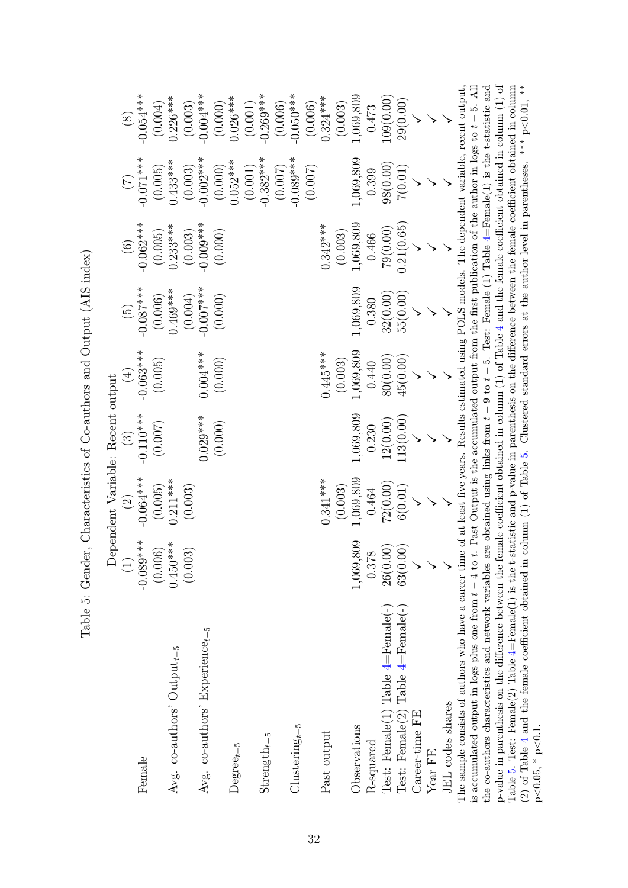| ;<br>;<br>;<br>$\zeta$<br>)<br>֧ׅ֧ׅ֧֧ׅ֧֧ׅ֧ׅ֧֧ׅ֧ׅ֧֧ׅ֧ׅ֧ׅ֧ׅ֧֛֚֚֚֚֚֚֚֚֚֚֚֚֚֚֚֚֚֡֜֓֜֓֓֜֓֓֜֓֜֓֓֜֓֜֓֜֜֜֜                                       |
|------------------------------------------------------------------------------------------------------------------------------------------|
| ;<br>(                                                                                                                                   |
| S Contractor                                                                                                                             |
| ֧֧֧֧֧֧֧֦֧֦֧֧֧֧֧֧֧֧֧֧֧֧֧֧֛֛֚֚֚֚֚֚֚֚֚֚֚֚֚֚֚֚֚֚֚֚֚֚֚֚֚֝֓֝֓֝֓֝֬֝֓֝֬֝֬֝֬֝֬֝֬֝֬֝֬֝֬֝֬֝֬֝֬֝֬֝֬֝֬<br>֧֧֧֧֧֧֧֧֧֧֧֛֧֧֧֛֛֛֧֛֚֚֚֚֚֝֝֩֩֩֩֜֝<br>ı<br>Ì |
|                                                                                                                                          |
| .<br>.<br>.<br>ì<br>.<br>Contains and the contains of<br>$\frac{1}{2}$<br>ี่เ<br>֖֖֖֚֚֚֚֚֚֡֞<br>֧֖ׅ֚֚֚֚֚֚֚֚֚֚֚֚֚֚֚֚֚֚֚֚֚֚֝֝֟֟֩           |
| $\sim$ $\sim$ $\sim$ $\sim$ $\sim$<br>i.<br>ו<br>ג<br>$\overline{ }$                                                                     |
| ĺ                                                                                                                                        |

<span id="page-32-0"></span>

|                                                                                                                                                                                                                                                                                                                            |               |                    | Dependent Variable: Recent output |             |                 |             |                           |                          |
|----------------------------------------------------------------------------------------------------------------------------------------------------------------------------------------------------------------------------------------------------------------------------------------------------------------------------|---------------|--------------------|-----------------------------------|-------------|-----------------|-------------|---------------------------|--------------------------|
|                                                                                                                                                                                                                                                                                                                            | $\widehat{L}$ | $\widehat{\Omega}$ | $\widehat{\mathfrak{S}}$          | $\bigoplus$ | $\widetilde{5}$ | $\odot$     | $\widetilde{\mathcal{L}}$ | $\circledS$              |
| $\rm Female$                                                                                                                                                                                                                                                                                                               | $-0.089***$   | $-0.064***$        | $-0.110***$                       | $-0.063***$ | $-0.087***$     | $-0.062***$ | $-0.071$ ***              | $-0.054***$              |
|                                                                                                                                                                                                                                                                                                                            | (0.006)       | (0.005)            | (0.007)                           | (0.005)     | (0.006)         | (0.005)     | (0.005)                   | (0.004)                  |
| Avg. co-authors' $Output_{t-5}$                                                                                                                                                                                                                                                                                            | $0.450***$    | $0.211***$         |                                   |             | $0.469***$      | $0.233***$  | $0.433***$                | $0.226***$               |
|                                                                                                                                                                                                                                                                                                                            | (0.003)       | (0.003)            |                                   |             | (0.004)         | (0.003)     | (0.003)                   | (0.003)                  |
| Avg. $co$ -authors' Experience <sub>t-5</sub>                                                                                                                                                                                                                                                                              |               |                    | $0.029***$                        | $0.004***$  | $-0.007$ ***    | $-0.009***$ | $-0.002***$               | $-0.004***$              |
|                                                                                                                                                                                                                                                                                                                            |               |                    | (0.000)                           | (0.000)     | (0.000)         | (0.000)     | (0.000)                   | (0.000)                  |
| $Degree_{t-5}$                                                                                                                                                                                                                                                                                                             |               |                    |                                   |             |                 |             | $0.052***$                | $0.026***$               |
|                                                                                                                                                                                                                                                                                                                            |               |                    |                                   |             |                 |             | (0.001)                   | $(0.001)$<br>$-0.269***$ |
| $\text{Streamgth}_{t-5}$                                                                                                                                                                                                                                                                                                   |               |                    |                                   |             |                 |             | $-0.382***$               |                          |
|                                                                                                                                                                                                                                                                                                                            |               |                    |                                   |             |                 |             | (0.007)                   | (0.006)                  |
| $Clustering_{t-5}$                                                                                                                                                                                                                                                                                                         |               |                    |                                   |             |                 |             | $-0.089***$               | $-0.050***$              |
|                                                                                                                                                                                                                                                                                                                            |               |                    |                                   |             |                 |             | (0.007)                   | $(0.006)$<br>$0.324***$  |
| Past output                                                                                                                                                                                                                                                                                                                |               | $0.341***$         |                                   | $0.445***$  |                 | $0.342***$  |                           |                          |
|                                                                                                                                                                                                                                                                                                                            |               | (0.003)            |                                   | (0.003)     |                 | (0.003)     |                           | (0.003)                  |
| Observations                                                                                                                                                                                                                                                                                                               | 1,069,809     | ,069,809           | 1,069,809                         | ,069,809    | 1,069,809       | 1,069,809   | 1,069,809                 | 1,069,809                |
| <b>R-squared</b>                                                                                                                                                                                                                                                                                                           | 0.378         | 0.464              | 0.230                             | 0.440       | 0.380           | 0.466       | 0.399                     | 0.473                    |
| Test: Female(1) Table $4 =$ Female(-)                                                                                                                                                                                                                                                                                      | 26(0.00)      | 72(0.00)           | 12(0.00)                          | 80(0.00)    | 32(0.00)        | 79(0.00)    | 98(0.00)                  | 109(0.00)                |
| Test: Female(2) Table $4 =$ Female(-                                                                                                                                                                                                                                                                                       | 63(0.00)      | 6(0.01)            | (13(0.00))                        | 45(0.00)    | 55(0.00)        | 0.21(0.65)  | 7(0.01)                   | 29(0.00)                 |
| Career-time FE                                                                                                                                                                                                                                                                                                             |               |                    |                                   |             |                 |             |                           |                          |
| Year FE                                                                                                                                                                                                                                                                                                                    |               |                    |                                   |             |                 |             |                           |                          |
| JEL codes shares                                                                                                                                                                                                                                                                                                           |               |                    |                                   |             |                 |             |                           |                          |
| is accumulated output in logs plus one from $t-4$ to t. Past Output is the accumulated output from the first publication of the author in logs to $t-5$ . All<br>The sample consists of authors who have a career time of at least five years. Results estimated using POLS models. The dependent variable, recent output, |               |                    |                                   |             |                 |             |                           |                          |
| the co-authors characteristics and network variables are obtained using links from $t-9$ to $t-5$ . Test: Female $(1)$ Table $4=$ Female $(1)$ is the t-statistic and                                                                                                                                                      |               |                    |                                   |             |                 |             |                           |                          |
| p-value in parenthesis on the difference between the female coefficient obtained in column $(1)$ of Table 4 and the female coefficient obtained in column $(1)$ of                                                                                                                                                         |               |                    |                                   |             |                 |             |                           |                          |
| Table 5. Test: Female(2) Table $4=$ Female(1) is the t-statistic and p-value in parenthesis on the difference between the female coefficient obtained in column                                                                                                                                                            |               |                    |                                   |             |                 |             |                           |                          |

(2) of Table [4](#page-31-0) and the female coefficient obtained in column (1) of Table [5.](#page-32-0) Clustered standard errors at the author level in parentheses. \*\*\* p

 $p<0.05, * p$ 

 $\leq 0.1$ .

 $< 0.01,$  \*\*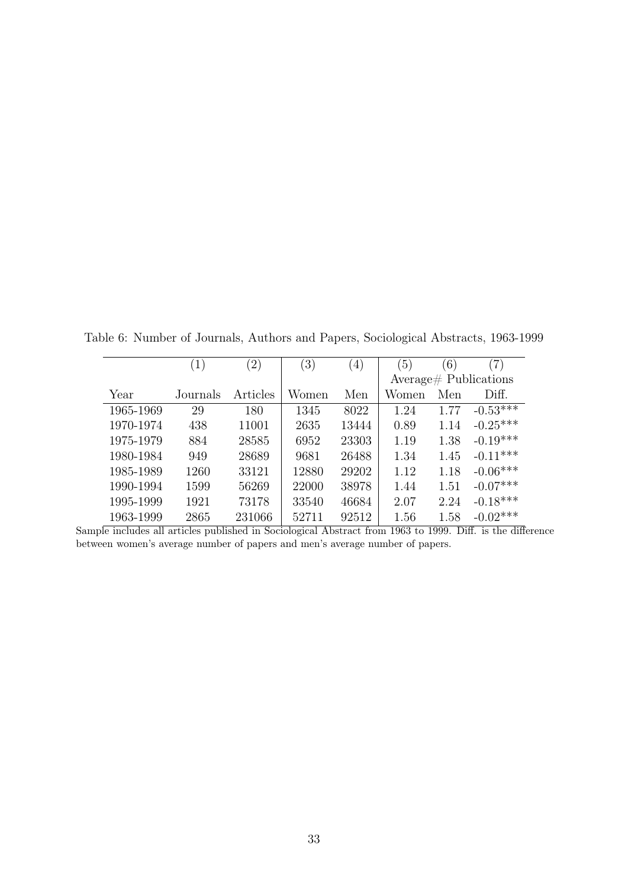<span id="page-33-0"></span>Table 6: Number of Journals, Authors and Papers, Sociological Abstracts, 1963-1999

|           | $\left(1\right)$ | $\left( 2\right)$ | $\left(3\right)$ | $\left(4\right)$ | $\left(5\right)$ | (6)  | $\left( 7\right)$         |
|-----------|------------------|-------------------|------------------|------------------|------------------|------|---------------------------|
|           |                  |                   |                  |                  |                  |      | $Average \# Publications$ |
| Year      | Journals         | Articles          | Women            | Men              | Women            | Men  | Diff.                     |
| 1965-1969 | 29               | 180               | 1345             | 8022             | 1.24             | 1.77 | $-0.53***$                |
| 1970-1974 | 438              | 11001             | 2635             | 13444            | 0.89             | 1.14 | $-0.25***$                |
| 1975-1979 | 884              | 28585             | 6952             | 23303            | 1.19             | 1.38 | $-0.19***$                |
| 1980-1984 | 949              | 28689             | 9681             | 26488            | 1.34             | 1.45 | $-0.11***$                |
| 1985-1989 | 1260             | 33121             | 12880            | 29202            | 1.12             | 1.18 | $-0.06***$                |
| 1990-1994 | 1599             | 56269             | 22000            | 38978            | 1.44             | 1.51 | $-0.07***$                |
| 1995-1999 | 1921             | 73178             | 33540            | 46684            | 2.07             | 2.24 | $-0.18***$                |
| 1963-1999 | 2865             | 231066            | 52711            | 92512            | 1.56             | 1.58 | $-0.02***$                |

Sample includes all articles published in Sociological Abstract from 1963 to 1999. Diff. is the difference between women's average number of papers and men's average number of papers.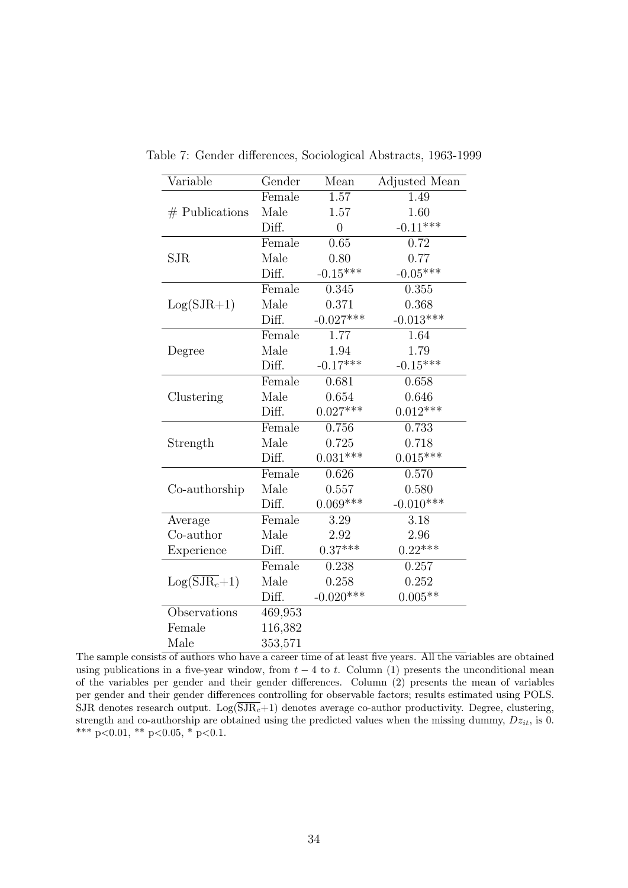| Variable                  | Gender  | Mean           | Adjusted Mean |
|---------------------------|---------|----------------|---------------|
|                           | Female  | 1.57           | 1.49          |
| $#$ Publications          | Male    | 1.57           | 1.60          |
|                           | Diff.   | $\overline{0}$ | $-0.11***$    |
|                           | Female  | 0.65           | 0.72          |
| SJR                       | Male    | 0.80           | 0.77          |
|                           | Diff.   | $-0.15***$     | $-0.05***$    |
|                           | Female  | 0.345          | 0.355         |
| $Log(SJR+1)$              | Male    | 0.371          | 0.368         |
|                           | Diff.   | $-0.027***$    | $-0.013***$   |
|                           | Female  | 1.77           | 1.64          |
| Degree                    | Male    | 1.94           | 1.79          |
|                           | Diff.   | $-0.17***$     | $-0.15***$    |
|                           | Female  | 0.681          | 0.658         |
| Clustering                | Male    | 0.654          | 0.646         |
|                           | Diff.   | $0.027***$     | $0.012***$    |
|                           | Female  | 0.756          | 0.733         |
| Strength                  | Male    | 0.725          | 0.718         |
|                           | Diff.   | $0.031***$     | $0.015***$    |
|                           | Female  | 0.626          | 0.570         |
| Co-authorship             | Male    | 0.557          | 0.580         |
|                           | Diff.   | $0.069***$     | $-0.010***$   |
| Average                   | Female  | 3.29           | 3.18          |
| Co-author                 | Male    | 2.92           | 2.96          |
| Experience                | Diff.   | $0.37***$      | $0.22***$     |
|                           | Female  | 0.238          | 0.257         |
| $Log(\overline{SJR_c}+1)$ | Male    | 0.258          | 0.252         |
|                           | Diff.   | $-0.020***$    | $0.005**$     |
| Observations              | 469,953 |                |               |
| Female                    | 116,382 |                |               |
| Male                      | 353,571 |                |               |

<span id="page-34-0"></span>Table 7: Gender differences, Sociological Abstracts, 1963-1999

The sample consists of authors who have a career time of at least five years. All the variables are obtained using publications in a five-year window, from  $t - 4$  to t. Column (1) presents the unconditional mean of the variables per gender and their gender differences. Column (2) presents the mean of variables per gender and their gender differences controlling for observable factors; results estimated using POLS. SJR denotes research output.  $Log(\overline{SJR_c}+1)$  denotes average co-author productivity. Degree, clustering, strength and co-authorship are obtained using the predicted values when the missing dummy,  $Dz_{it}$ , is 0. \*\*\*  $p<0.01$ , \*\*  $p<0.05$ , \*  $p<0.1$ .